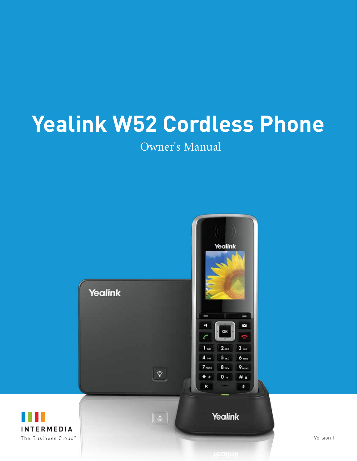# **Yealink W52 Cordless Phone**

Owner's Manual



Version 1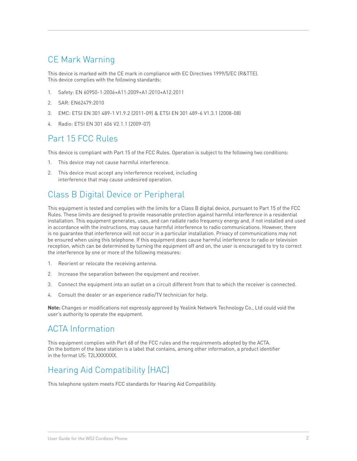### CE Mark Warning

This device is marked with the CE mark in compliance with EC Directives 1999/5/EC (R&TTE). This device complies with the following standards:

- 1. Safety: EN 60950-1:2006+A11:2009+A1:2010+A12:2011
- 2. SAR: EN62479:2010
- 3. EMC: ETSI EN 301 489-1 V1.9.2 (2011-09) & ETSI EN 301 489-6 V1.3.1 (2008-08)
- 4. Radio: ETSI EN 301 406 V2.1.1 (2009-07)

### Part 15 FCC Rules

This device is compliant with Part 15 of the FCC Rules. Operation is subject to the following two conditions:

- 1. This device may not cause harmful interference.
- 2. This device must accept any interference received, including interference that may cause undesired operation.

### Class B Digital Device or Peripheral

This equipment is tested and complies with the limits for a Class B digital device, pursuant to Part 15 of the FCC Rules. These limits are designed to provide reasonable protection against harmful interference in a residential installation. This equipment generates, uses, and can radiate radio frequency energy and, if not installed and used in accordance with the instructions, may cause harmful interference to radio communications. However, there is no guarantee that interference will not occur in a particular installation. Privacy of communications may not be ensured when using this telephone. If this equipment does cause harmful interference to radio or television reception, which can be determined by turning the equipment off and on, the user is encouraged to try to correct the interference by one or more of the following measures:

- 1. Reorient or relocate the receiving antenna.
- 2. Increase the separation between the equipment and receiver.
- 3. Connect the equipment into an outlet on a circuit different from that to which the receiver is connected.
- 4. Consult the dealer or an experience radio/TV technician for help.

**Note:** Changes or modifications not expressly approved by Yealink Network Technology Co., Ltd could void the user's authority to operate the equipment.

### ACTA Information

This equipment complies with Part 68 of the FCC rules and the requirements adopted by the ACTA. On the bottom of the base station is a label that contains, among other information, a product identifier in the format US: T2LXXXXXXX.

### Hearing Aid Compatibility (HAC)

This telephone system meets FCC standards for Hearing Aid Compatibility.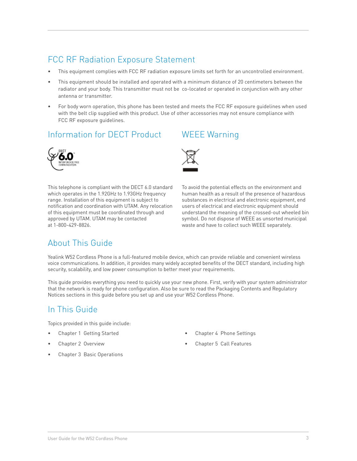### FCC RF Radiation Exposure Statement

- This equipment complies with FCC RF radiation exposure limits set forth for an uncontrolled environment.
- This equipment should be installed and operated with a minimum distance of 20 centimeters between the radiator and your body. This transmitter must not be co-located or operated in conjunction with any other antenna or transmitter.
- For body worn operation, this phone has been tested and meets the FCC RF exposure guidelines when used with the belt clip supplied with this product. Use of other accessories may not ensure compliance with FCC RF exposure guidelines.

### Information for DECT Product



This telephone is compliant with the DECT 6.0 standard which operates in the 1.92GHz to 1.93GHz frequency range. Installation of this equipment is subject to notification and coordination with UTAM. Any relocation of this equipment must be coordinated through and approved by UTAM. UTAM may be contacted at 1-800-429-8826.

### WEEE Warning



To avoid the potential effects on the environment and human health as a result of the presence of hazardous substances in electrical and electronic equipment, end users of electrical and electronic equipment should understand the meaning of the crossed-out wheeled bin symbol. Do not dispose of WEEE as unsorted municipal waste and have to collect such WEEE separately.

### About This Guide

Yealink W52 Cordless Phone is a full-featured mobile device, which can provide reliable and convenient wireless voice communications. In addition, it provides many widely accepted benefits of the DECT standard, including high security, scalability, and low power consumption to better meet your requirements.

This guide provides everything you need to quickly use your new phone. First, verify with your system administrator that the network is ready for phone configuration. Also be sure to read the Packaging Contents and Regulatory Notices sections in this guide before you set up and use your W52 Cordless Phone.

### In This Guide

Topics provided in this guide include:

- Chapter 1 Getting Started
- Chapter 2 Overview
- Chapter 3 Basic Operations
- Chapter 4 Phone Settings
- Chapter 5 Call Features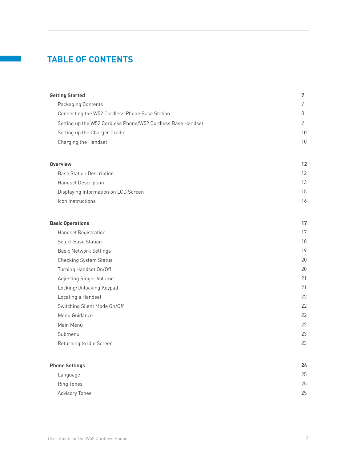### **TABLE OF CONTENTS**

| <b>Getting Started</b>                                      | 7  |
|-------------------------------------------------------------|----|
| Packaging Contents                                          | 7  |
| Connecting the W52 Cordless Phone Base Station              | 8  |
| Setting up the W52 Cordless Phone/W52 Cordless Base Handset | 9  |
| Setting up the Charger Cradle                               | 10 |
| Charging the Handset                                        | 10 |
| <b>Overview</b>                                             | 12 |
| <b>Base Station Description</b>                             | 12 |
| <b>Handset Description</b>                                  | 13 |
| Displaying Information on LCD Screen                        | 15 |
| Icon Instructions                                           | 16 |
| <b>Basic Operations</b>                                     | 17 |
| <b>Handset Registration</b>                                 | 17 |
| <b>Select Base Station</b>                                  | 18 |
| <b>Basic Network Settings</b>                               | 19 |
| <b>Checking System Status</b>                               | 20 |
| Turning Handset On/Off                                      | 20 |
| Adjusting Ringer Volume                                     | 21 |
| Locking/Unlocking Keypad                                    | 21 |
| Locating a Handset                                          | 22 |
| Switching Silent Mode On/Off                                | 22 |
| Menu Guidance                                               | 22 |
| Main Menu                                                   | 22 |
| Submenu                                                     | 23 |
| Returning to Idle Screen                                    | 23 |
| <b>Phone Settings</b>                                       | 24 |
| Language                                                    | 25 |
| <b>Ring Tones</b>                                           | 25 |
| <b>Advisory Tones</b>                                       | 25 |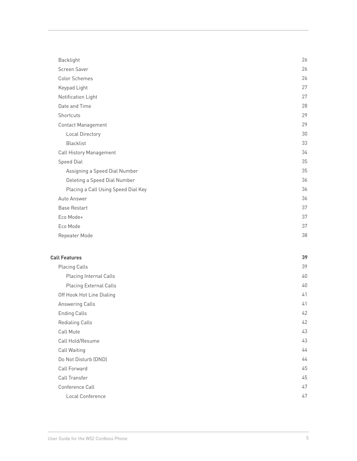| Backlight                           | 26 |
|-------------------------------------|----|
| Screen Saver                        | 26 |
| <b>Color Schemes</b>                | 26 |
| Keypad Light                        | 27 |
| Notification Light                  | 27 |
| Date and Time                       | 28 |
| Shortcuts                           | 29 |
| <b>Contact Management</b>           | 29 |
| <b>Local Directory</b>              | 30 |
| <b>Blacklist</b>                    | 33 |
| <b>Call History Management</b>      | 34 |
| <b>Speed Dial</b>                   | 35 |
| Assigning a Speed Dial Number       | 35 |
| Deleting a Speed Dial Number        | 36 |
| Placing a Call Using Speed Dial Key | 36 |
| Auto Answer                         | 36 |
| <b>Base Restart</b>                 | 37 |
| Eco Mode+                           | 37 |
| Eco Mode                            | 37 |
| Repeater Mode                       | 38 |
|                                     |    |
| <b>Call Features</b>                | 39 |
|                                     |    |

| <b>Placing Calls</b>          | 39 |
|-------------------------------|----|
| <b>Placing Internal Calls</b> | 40 |
| <b>Placing External Calls</b> | 40 |
| Off Hook Hot Line Dialing     | 41 |
| <b>Answering Calls</b>        | 41 |
| <b>Ending Calls</b>           | 42 |
| <b>Redialing Calls</b>        | 42 |
| Call Mute                     | 43 |
| Call Hold/Resume              | 43 |
| Call Waiting                  | 44 |
| Do Not Disturb (DND)          | 44 |
| Call Forward                  | 45 |
| Call Transfer                 | 45 |
| Conference Call               | 47 |
| Local Conference              | 47 |
|                               |    |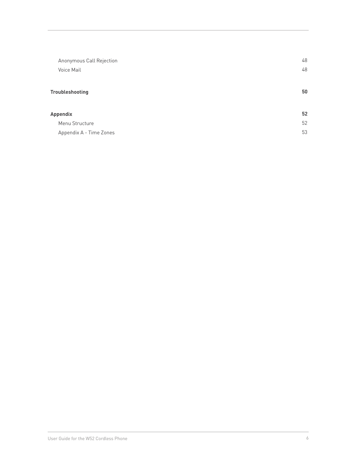| Anonymous Call Rejection<br>Voice Mail | 48<br>48 |
|----------------------------------------|----------|
| <b>Troubleshooting</b>                 | 50       |
| <b>Appendix</b>                        | 52       |
| Menu Structure                         | 52       |
| Appendix A - Time Zones                | 53       |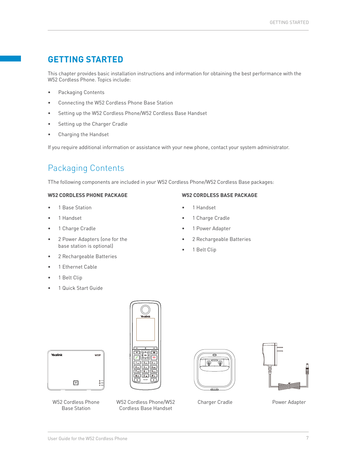### <span id="page-6-0"></span>**GETTING STARTED**

This chapter provides basic installation instructions and information for obtaining the best performance with the W52 Cordless Phone. Topics include:

- Packaging Contents
- Connecting the W52 Cordless Phone Base Station
- Setting up the W52 Cordless Phone/W52 Cordless Base Handset
- Setting up the Charger Cradle
- Charging the Handset

If you require additional information or assistance with your new phone, contact your system administrator.

### Packaging Contents

TThe following components are included in your W52 Cordless Phone/W52 Cordless Base packages:

#### **W52 CORDLESS PHONE PACKAGE**

- 1 Base Station
- 1 Handset
- 1 Charge Cradle
- 2 Power Adapters (one for the base station is optional)
- 2 Rechargeable Batteries
- 1 Ethernet Cable
- 1 Belt Clip

Yealink

• 1 Quick Start Guide





Base Station

W52 Cordless Phone/W52 Cordless Base Handset





Charger Cradle **Power Adapter** 

1 Power Adapter

**W52 CORDLESS BASE PACKAGE**

- 2 Rechargeable Batteries
- 

 $W52F$ 

1 Charge Cradle

• 1 Handset

1 Belt Clip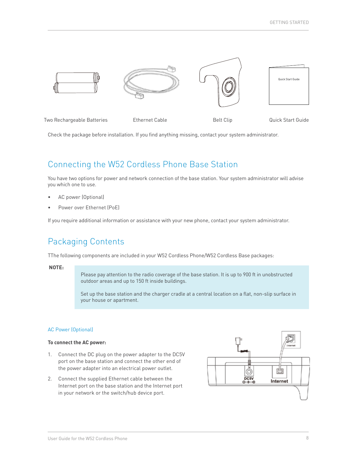<span id="page-7-0"></span>

Two Rechargeable Batteries **Ethernet Cable** Belt Clip Belt Clip Quick Start Guide

Check the package before installation. If you find anything missing, contact your system administrator.

### Connecting the W52 Cordless Phone Base Station

You have two options for power and network connection of the base station. Your system administrator will advise you which one to use.

- AC power (Optional)
- Power over Ethernet (PoE)

If you require additional information or assistance with your new phone, contact your system administrator.

### Packaging Contents

TThe following components are included in your W52 Cordless Phone/W52 Cordless Base packages:

#### **NOTE:**

Please pay attention to the radio coverage of the base station. It is up to 900 ft in unobstructed outdoor areas and up to 150 ft inside buildings.

Set up the base station and the charger cradle at a central location on a flat, non-slip surface in your house or apartment.

#### AC Power (Optional)

#### **To connect the AC power:**

- 1. Connect the DC plug on the power adapter to the DC5V port on the base station and connect the other end of the power adapter into an electrical power outlet.
- 2. Connect the supplied Ethernet cable between the Internet port on the base station and the Internet port in your network or the switch/hub device port.

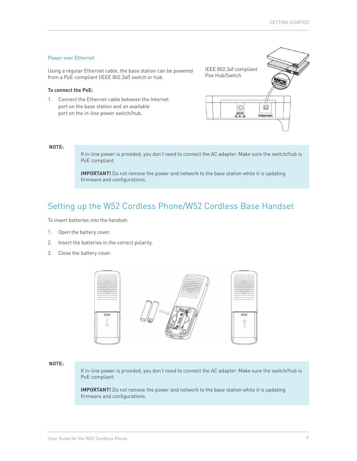#### <span id="page-8-0"></span>Power over Ethernet

Using a regular Ethernet cable, the base station can be powered from a PoE-compliant (IEEE 802.3af) switch or hub.

#### **To connect the PoE:**

1. Connect the Ethernet cable between the Internet port on the base station and an available port on the in-line power switch/hub.



#### **NOTE:**

If in-line power is provided, you don't need to connect the AC adapter. Make sure the switch/hub is PoE compliant.

**IMPORTANT!** Do not remove the power and network to the base station while it is updating firmware and configurations.

### Setting up the W52 Cordless Phone/W52 Cordless Base Handset

To insert batteries into the handset:

- 1. Open the battery cover.
- 2. Insert the batteries in the correct polarity.
- 3. Close the battery cover.



#### **NOTE:**

If in-line power is provided, you don't need to connect the AC adapter. Make sure the switch/hub is PoE compliant.

**IMPORTANT!** Do not remove the power and network to the base station while it is updating firmware and configurations.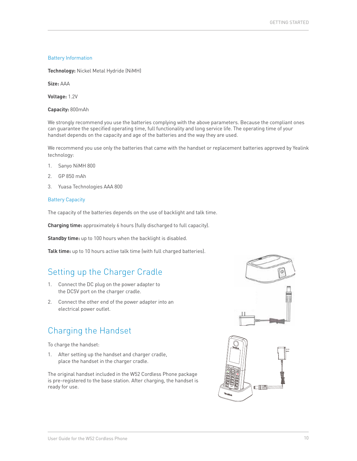#### <span id="page-9-0"></span>Battery Information

**Technology:** Nickel Metal Hydride (NiMH)

**Size:** AAA

**Voltage:** 1.2V

**Capacity:** 800mAh

We strongly recommend you use the batteries complying with the above parameters. Because the compliant ones can guarantee the specified operating time, full functionality and long service life. The operating time of your handset depends on the capacity and age of the batteries and the way they are used.

We recommend you use only the batteries that came with the handset or replacement batteries approved by Yealink technology:

- 1. Sanyo NiMH 800
- 2. GP 850 mAh
- 3. Yuasa Technologies AAA 800

#### Battery Capacity

The capacity of the batteries depends on the use of backlight and talk time.

**Charging time:** approximately 6 hours (fully discharged to full capacity).

**Standby time:** up to 100 hours when the backlight is disabled.

**Talk time:** up to 10 hours active talk time (with full charged batteries).

### Setting up the Charger Cradle

- 1. Connect the DC plug on the power adapter to the DC5V port on the charger cradle.
- 2. Connect the other end of the power adapter into an electrical power outlet.

### Charging the Handset

To charge the handset:

1. After setting up the handset and charger cradle, place the handset in the charger cradle.

The original handset included in the W52 Cordless Phone package is pre-registered to the base station. After charging, the handset is ready for use.



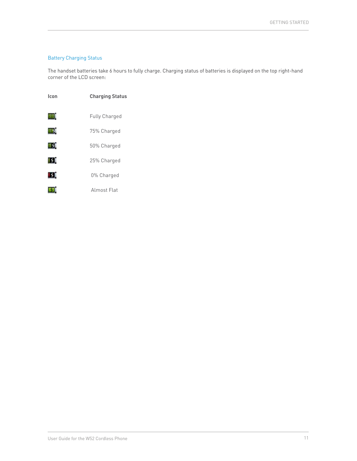### Battery Charging Status

The handset batteries take 6 hours to fully charge. Charging status of batteries is displayed on the top right-hand corner of the LCD screen:

| Icon | <b>Charging Status</b> |
|------|------------------------|
| шŋ   | <b>Fully Charged</b>   |
| W.   | 75% Charged            |
| 83   | 50% Charged            |
| 13.  | 25% Charged            |
| 13.  | 0% Charged             |
|      | Almost Flat            |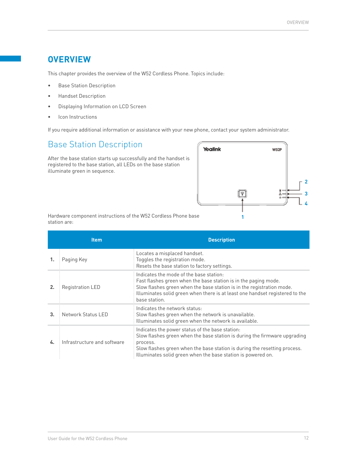### <span id="page-11-0"></span>**OVERVIEW**

This chapter provides the overview of the W52 Cordless Phone. Topics include:

- Base Station Description
- Handset Description
- Displaying Information on LCD Screen
- Icon Instructions

If you require additional information or assistance with your new phone, contact your system administrator.

### Base Station Description

After the base station starts up successfully and the handset is registered to the base station, all LEDs on the base station illuminate green in sequence.



Hardware component instructions of the W52 Cordless Phone base station are:

|    | <b>Item</b>                 | <b>Description</b>                                                                                                                                                                                                                                                                    |
|----|-----------------------------|---------------------------------------------------------------------------------------------------------------------------------------------------------------------------------------------------------------------------------------------------------------------------------------|
|    | Paging Key                  | Locates a misplaced handset.<br>Toggles the registration mode.<br>Resets the base station to factory settings.                                                                                                                                                                        |
|    | <b>Registration LED</b>     | Indicates the mode of the base station:<br>Fast flashes green when the base station is in the paging mode.<br>Slow flashes green when the base station is in the registration mode.<br>Illuminates solid green when there is at least one handset registered to the<br>base station.  |
| 3. | Network Status LED          | Indicates the network status:<br>Slow flashes green when the network is unavailable.<br>Illuminates solid green when the network is available.                                                                                                                                        |
| 4. | Infrastructure and software | Indicates the power status of the base station:<br>Slow flashes green when the base station is during the firmware upgrading<br>process.<br>Slow flashes green when the base station is during the resetting process.<br>Illuminates solid green when the base station is powered on. |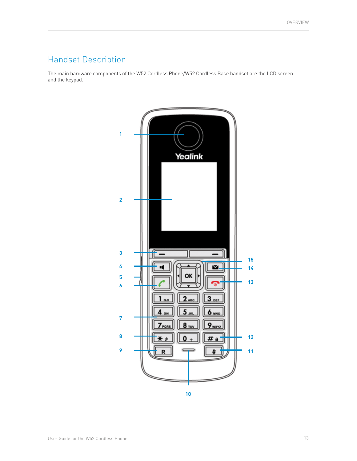## <span id="page-12-0"></span>Handset Description

The main hardware components of the W52 Cordless Phone/W52 Cordless Base handset are the LCD screen and the keypad.

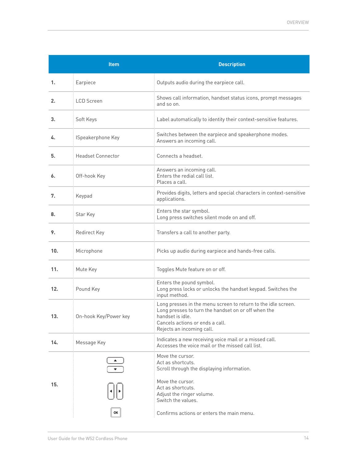|     | Item                     | <b>Description</b>                                                                                                                                                                                       |
|-----|--------------------------|----------------------------------------------------------------------------------------------------------------------------------------------------------------------------------------------------------|
| 1.  | Earpiece                 | Outputs audio during the earpiece call.                                                                                                                                                                  |
| 2.  | <b>LCD</b> Screen        | Shows call information, handset status icons, prompt messages<br>and so on.                                                                                                                              |
| 3.  | Soft Keys                | Label automatically to identity their context-sensitive features.                                                                                                                                        |
| 4.  | <b>ISpeakerphone Key</b> | Switches between the earpiece and speakerphone modes.<br>Answers an incoming call.                                                                                                                       |
| 5.  | <b>Headset Connector</b> | Connects a headset.                                                                                                                                                                                      |
| 6.  | Off-hook Key             | Answers an incoming call.<br>Enters the redial call list.<br>Places a call.                                                                                                                              |
| 7.  | Keypad                   | Provides digits, letters and special characters in context-sensitive<br>applications.                                                                                                                    |
| 8.  | Star Key                 | Enters the star symbol.<br>Long press switches silent mode on and off.                                                                                                                                   |
| 9.  | Redirect Key             | Transfers a call to another party.                                                                                                                                                                       |
| 10. | Microphone               | Picks up audio during earpiece and hands-free calls.                                                                                                                                                     |
| 11. | Mute Key                 | Toggles Mute feature on or off.                                                                                                                                                                          |
| 12. | Pound Key                | Enters the pound symbol.<br>Long press locks or unlocks the handset keypad. Switches the<br>input method.                                                                                                |
| 13. | On-hook Key/Power key    | Long presses in the menu screen to return to the idle screen.<br>Long presses to turn the handset on or off when the<br>handset is idle.<br>Cancels actions or ends a call.<br>Rejects an incoming call. |
| 14. | Message Key              | Indicates a new receiving voice mail or a missed call.<br>Accesses the voice mail or the missed call list.                                                                                               |
|     |                          | Move the cursor.<br>Act as shortcuts.<br>Scroll through the displaying information.                                                                                                                      |
| 15. |                          | Move the cursor.<br>Act as shortcuts.<br>Adjust the ringer volume.<br>Switch the values.                                                                                                                 |
|     | ОК                       | Confirms actions or enters the main menu.                                                                                                                                                                |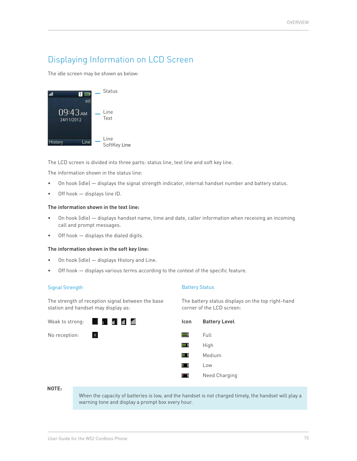### <span id="page-14-0"></span>Displaying Information on LCD Screen

The idle screen may be shown as below:



The LCD screen is divided into three parts: status line, text line and soft key line.

The information shown in the status line:

- On hook (idle) displays the signal strength indicator, internal handset number and battery status.
- Off hook displays line ID.

#### **The information shown in the text line:**

- On hook (idle) displays handset name, time and date, caller information when receiving an incoming call and prompt messages.
- Off hook  $-$  displays the dialed digits.

#### **The information shown in the soft key line:**

- On hook (idle) displays History and Line.
- Off hook  $-$  displays various terms according to the context of the specific feature.

#### Signal Strength

The strength of reception signal between the base station and handset may display as:



#### Battery Status

The battery status displays on the top right-hand corner of the LCD screen:



**NOTE:**

When the capacity of batteries is low, and the handset is not charged timely, the handset will play a warning tone and display a prompt box every hour.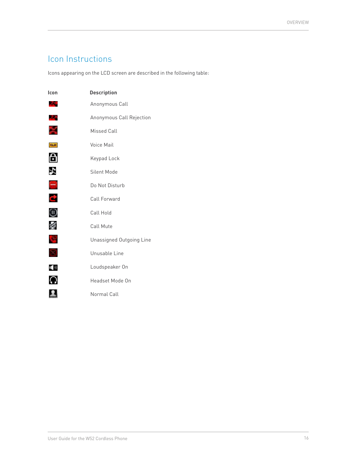### <span id="page-15-0"></span>Icon Instructions

Icons appearing on the LCD screen are described in the following table:

| Icon       | <b>Description</b>       |
|------------|--------------------------|
| a s        | Anonymous Call           |
| ZС.        | Anonymous Call Rejection |
|            | <b>Missed Call</b>       |
| <b>RAP</b> | Voice Mail               |
| A          | Keypad Lock              |
| N.         | Silent Mode              |
| ÷          | Do Not Disturb           |
| Q,         | Call Forward             |
| ⊕          | Call Hold                |
|            | Call Mute                |
| d.         | Unassigned Outgoing Line |
| Ñ          | Unusable Line            |
| (10)       | Loudspeaker On           |
| $\Omega$   | Headset Mode On          |
|            | Normal Call              |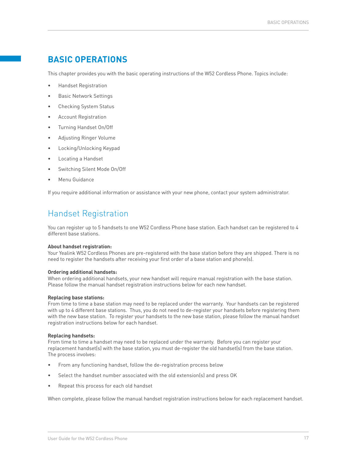### <span id="page-16-0"></span>**BASIC OPERATIONS**

This chapter provides you with the basic operating instructions of the W52 Cordless Phone. Topics include:

- Handset Registration
- Basic Network Settings
- Checking System Status
- Account Registration
- Turning Handset On/Off
- Adjusting Ringer Volume
- Locking/Unlocking Keypad
- Locating a Handset
- Switching Silent Mode On/Off
- Menu Guidance

If you require additional information or assistance with your new phone, contact your system administrator.

### Handset Registration

You can register up to 5 handsets to one W52 Cordless Phone base station. Each handset can be registered to 4 different base stations.

#### **About handset registration:**

Your Yealink W52 Cordless Phones are pre-registered with the base station before they are shipped. There is no need to register the handsets after receiving your first order of a base station and phone(s).

#### **Ordering additional handsets:**

When ordering additional handsets, your new handset will require manual registration with the base station. Please follow the manual handset registration instructions below for each new handset.

#### **Replacing base stations:**

From time to time a base station may need to be replaced under the warranty. Your handsets can be registered with up to 4 different base stations. Thus, you do not need to de-register your handsets before registering them with the new base station. To register your handsets to the new base station, please follow the manual handset registration instructions below for each handset.

#### **Replacing handsets:**

From time to time a handset may need to be replaced under the warranty. Before you can register your replacement handset(s) with the base station, you must de-register the old handset(s) from the base station. The process involves:

- From any functioning handset, follow the de-registration process below
- Select the handset number associated with the old extension(s) and press OK
- Repeat this process for each old handset

When complete, please follow the manual handset registration instructions below for each replacement handset.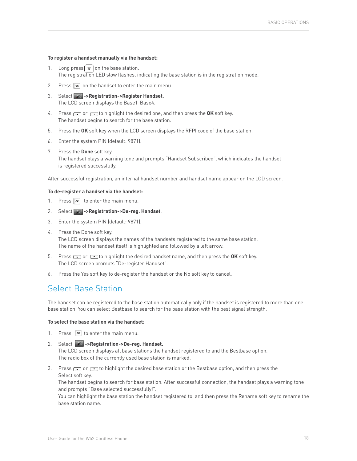#### <span id="page-17-0"></span>**To register a handset manually via the handset:**

- 1. Long press  $\left[\widehat{\mathbf{F}}\right]$  on the base station. The registration LED slow flashes, indicating the base station is in the registration mode.
- 2. Press  $\boxed{\infty}$  on the handset to enter the main menu.
- 3. Select **->Registration->Register Handset.** The LCD screen displays the Base1-Base4.
- 4. Press  $\rightarrow$  or  $\rightarrow$  to highlight the desired one, and then press the **OK** soft key. The handset begins to search for the base station.
- 5. Press the **OK** soft key when the LCD screen displays the RFPI code of the base station.
- 6. Enter the system PIN (default: 9871).
- 7. Press the **Done** soft key. The handset plays a warning tone and prompts "Handset Subscribed", which indicates the handset is registered successfully.

After successful registration, an internal handset number and handset name appear on the LCD screen.

#### **To de-register a handset via the handset:**

- 1. Press  $\boxed{\infty}$  to enter the main menu.
- 2. Select **->Registration->De-reg. Handset**.
- 3. Enter the system PIN (default: 9871).
- 4. Press the Done soft key. The LCD screen displays the names of the handsets registered to the same base station. The name of the handset itself is highlighted and followed by a left arrow.
- 5. Press  $\text{I}$  or  $\text{I}$  to highlight the desired handset name, and then press the OK soft key. The LCD screen prompts "De-register Handset".
- 6. Press the Yes soft key to de-register the handset or the No soft key to cancel.

### Select Base Station

The handset can be registered to the base station automatically only if the handset is registered to more than one base station. You can select Bestbase to search for the base station with the best signal strength.

#### **To select the base station via the handset:**

- 1. Press  $\sqrt{a}$  to enter the main menu.
- 2. Select **->Registration->De-reg. Handset.** The LCD screen displays all base stations the handset registered to and the Bestbase option. The radio box of the currently used base station is marked.
- 3. Press  $\Box$  or  $\Box$  to highlight the desired base station or the Bestbase option, and then press the Select soft key.

The handset begins to search for base station. After successful connection, the handset plays a warning tone and prompts "Base selected successfully!".

You can highlight the base station the handset registered to, and then press the Rename soft key to rename the base station name.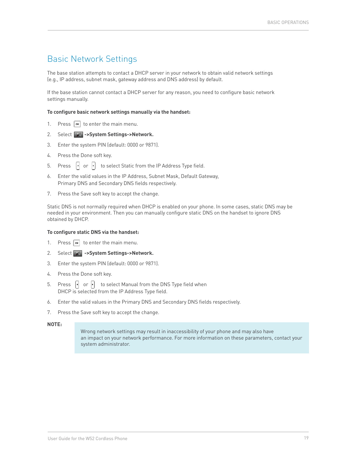### <span id="page-18-0"></span>Basic Network Settings

The base station attempts to contact a DHCP server in your network to obtain valid network settings (e.g., IP address, subnet mask, gateway address and DNS address) by default.

If the base station cannot contact a DHCP server for any reason, you need to configure basic network settings manually.

#### **To configure basic network settings manually via the handset:**

- 1. Press  $\boxed{\infty}$  to enter the main menu.
- 2. Select **->System Settings->Network.**
- 3. Enter the system PIN (default: 0000 or 9871).
- 4. Press the Done soft key.
- 5. Press  $\begin{bmatrix} \cdot \\ \cdot \end{bmatrix}$  or  $\begin{bmatrix} \cdot \\ \cdot \end{bmatrix}$  to select Static from the IP Address Type field.
- 6. Enter the valid values in the IP Address, Subnet Mask, Default Gateway, Primary DNS and Secondary DNS fields respectively.
- 7. Press the Save soft key to accept the change.

Static DNS is not normally required when DHCP is enabled on your phone. In some cases, static DNS may be needed in your environment. Then you can manually configure static DNS on the handset to ignore DNS obtained by DHCP.

#### **To configure static DNS via the handset:**

- 1. Press  $\boxed{\infty}$  to enter the main menu.
- 2. Select **->System Settings->Network.**
- 3. Enter the system PIN (default: 0000 or 9871).
- 4. Press the Done soft key.
- 5. Press  $\begin{bmatrix} \cdot \\ \cdot \end{bmatrix}$  or  $\begin{bmatrix} \cdot \\ \cdot \end{bmatrix}$  to select Manual from the DNS Type field when DHCP is selected from the IP Address Type field.
- 6. Enter the valid values in the Primary DNS and Secondary DNS fields respectively.
- 7. Press the Save soft key to accept the change.

#### **NOTE:**

Wrong network settings may result in inaccessibility of your phone and may also have an impact on your network performance. For more information on these parameters, contact your system administrator.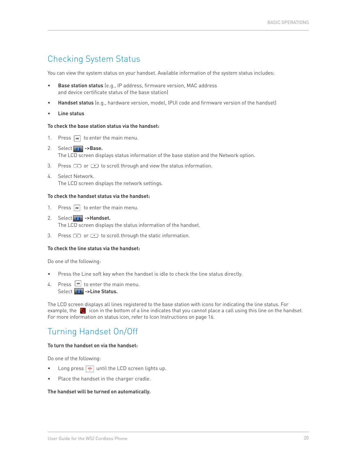### <span id="page-19-0"></span>Checking System Status

You can view the system status on your handset. Available information of the system status includes:

- **Base station status** (e.g., IP address, firmware version, MAC address and device certificate status of the base station)
- **Handset status** (e.g., hardware version, model, IPUI code and firmware version of the handset)
- **Line status**

#### **To check the base station status via the handset:**

- 1. Press  $\boxed{\infty}$  to enter the main menu.
- 2. Select **->Base.** The LCD screen displays status information of the base station and the Network option.
- 3. Press or to scroll through and view the status information.
- 4. Select Network. The LCD screen displays the network settings.

#### **To check the handset status via the handset:**

- 1. Press  $\boxed{\infty}$  to enter the main menu.
- 2. Select **->Handset.** The LCD screen displays the status information of the handset.
- 3. Press  $\bullet$  or  $\bullet$  to scroll through the static information.

#### **To check the line status via the handset:**

Do one of the following:

- Press the Line soft key when the handset is idle to check the line status directly.
- 4. Press  $\boxed{\bullet\star}$  to enter the main menu. Select **b** ->Line Status.

The LCD screen displays all lines registered to the base station with icons for indicating the line status. For example, the  $\ll$  icon in the bottom of a line indicates that you cannot place a call using this line on the handset. For more information on status icon, refer to Icon Instructions on [page 16.](#page-15-0)

### Turning Handset On/Off

#### **To turn the handset on via the handset:**

Do one of the following:

- Long press  $\boxed{\bullet}$  until the LCD screen lights up.
- Place the handset in the charger cradle.

#### **The handset will be turned on automatically.**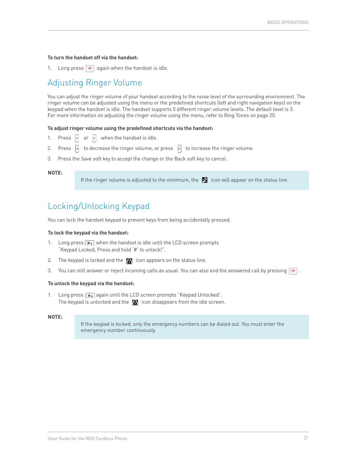#### <span id="page-20-0"></span>**To turn the handset off via the handset:**

1. Long press  $\bullet$  again when the handset is idle.

### Adjusting Ringer Volume

You can adjust the ringer volume of your handset according to the noise level of the surrounding environment. The ringer volume can be adjusted using the menu or the predefined shortcuts (left and right navigation keys) on the keypad when the handset is idle. The handset supports 5 different ringer volume levels. The default level is 3. For more information on adjusting the ringer volume using the menu, refer to Ring Tones on [page 25](#page-24-0).

#### **To adjust ringer volume using the predefined shortcuts via the handset:**

- 1. Press  $\begin{bmatrix} \cdot \\ \cdot \end{bmatrix}$  or  $\begin{bmatrix} \cdot \\ \cdot \end{bmatrix}$  when the handset is idle.
- 2. Press  $\left\{ \cdot \right\}$  to decrease the ringer volume, or press  $\left\{ \cdot \right\}$  to increase the ringer volume.
- 3. Press the Save soft key to accept the change or the Back soft key to cancel.

#### **NOTE:**

If the ringer volume is adjusted to the minimum, the  $\blacksquare$  icon will appear on the status line.

### Locking/Unlocking Keypad

You can lock the handset keypad to prevent keys from being accidentally pressed.

#### **To lock the keypad via the handset:**

- 1. Long press  $\boxed{\boldsymbol{\#}\cdot\mathbf{}$  when the handset is idle until the LCD screen prompts "Keypad Locked, Press and hold '#' to unlock!".
- 2. The keypad is locked and the  $\Box$  icon appears on the status line.
- 3. You can still answer or reject incoming calls as usual. You can also end the answered call by pressing  $\boxed{\bullet}$ .

#### **To unlock the keypad via the handset:**

1. Long press  $\boxed{\ast}$  again until the LCD screen prompts "Keypad Unlocked". The keypad is unlocked and the  $\Box$  icon disappears from the idle screen.

#### **NOTE:**

If the keypad is locked, only the emergency numbers can be dialed out. You must enter the emergency number continuously.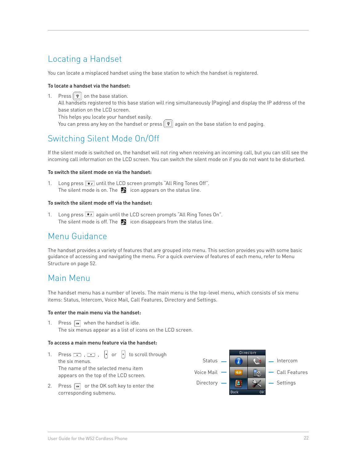### <span id="page-21-0"></span>Locating a Handset

You can locate a misplaced handset using the base station to which the handset is registered.

#### **To locate a handset via the handset:**

1. Press  $\boxed{\widehat{}}$  on the base station. All handsets registered to this base station will ring simultaneously (Paging) and display the IP address of the base station on the LCD screen. This helps you locate your handset easily.

You can press any key on the handset or press  $\left[\widehat{\mathbf{F}}\right]$  again on the base station to end paging.

### Switching Silent Mode On/Off

If the silent mode is switched on, the handset will not ring when receiving an incoming call, but you can still see the incoming call information on the LCD screen. You can switch the silent mode on if you do not want to be disturbed.

#### **To switch the silent mode on via the handset:**

1. Long press  $\mathbb{R}$  until the LCD screen prompts "All Ring Tones Off". The silent mode is on. The  $\blacksquare$  icon appears on the status line.

#### **To switch the silent mode off via the handset:**

1. Long press  $\overline{**}$  again until the LCD screen prompts "All Ring Tones On". The silent mode is off. The  $\blacksquare$  icon disappears from the status line.

### Menu Guidance

The handset provides a variety of features that are grouped into menu. This section provides you with some basic guidance of accessing and navigating the menu. For a quick overview of features of each menu, refer to Menu Structure on [page 52](#page-51-0).

### Main Menu

The handset menu has a number of levels. The main menu is the top-level menu, which consists of six menu items: Status, Intercom, Voice Mail, Call Features, Directory and Settings.

#### **To enter the main menu via the handset:**

1. Press  $\boxed{\infty}$  when the handset is idle. The six menus appear as a list of icons on the LCD screen.

#### **To access a main menu feature via the handset:**

- 1. Press  $\Box$ ,  $\Box$ ,  $\cdot$  or  $\cdot$  to scroll through the six menus. The name of the selected menu item appears on the top of the LCD screen. Status  $\frac{1}{2}$   $\frac{1}{2}$   $\frac{1}{2}$   $\frac{1}{2}$  Intercom Voice Mail  $\begin{array}{|c|c|c|c|c|}\hline \textbf{w} & \textbf{w} & - & \textbf{Call Features} \ \hline \end{array}$ Directory  $\begin{array}{|c|c|c|c|c|}\hline \textbf{R} & \textbf{S} & - & \text{Setting} \\\hline \end{array}$
- 2. Press  $\boxed{\infty}$  or the OK soft key to enter the corresponding submenu.

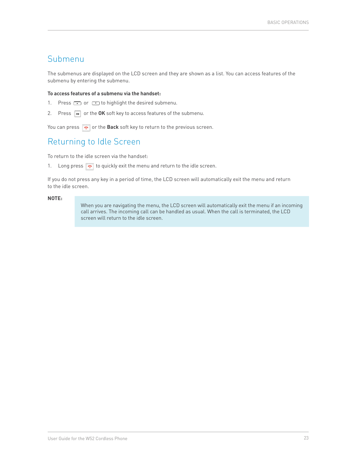### <span id="page-22-0"></span>Submenu

The submenus are displayed on the LCD screen and they are shown as a list. You can access features of the submenu by entering the submenu.

#### **To access features of a submenu via the handset:**

- 1. Press  $\bullet$  or  $\bullet$  to highlight the desired submenu.
- 2. Press  $\boxed{\infty}$  or the OK soft key to access features of the submenu.

You can press  $\boxed{\bullet}$  or the **Back** soft key to return to the previous screen.

### Returning to Idle Screen

To return to the idle screen via the handset:

1. Long press  $\bullet$  to quickly exit the menu and return to the idle screen.

If you do not press any key in a period of time, the LCD screen will automatically exit the menu and return to the idle screen.

#### **NOTE:**

When you are navigating the menu, the LCD screen will automatically exit the menu if an incoming call arrives. The incoming call can be handled as usual. When the call is terminated, the LCD screen will return to the idle screen.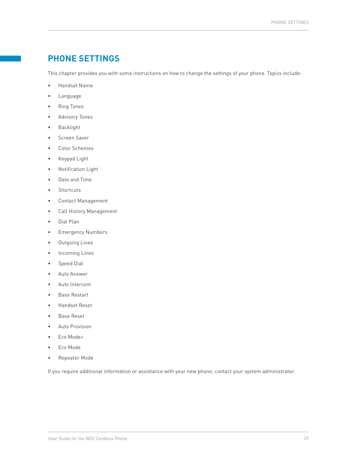### <span id="page-23-0"></span>**PHONE SETTINGS**

This chapter provides you with some instructions on how to change the settings of your phone. Topics include:

- Handset Name
- Language
- Ring Tones
- Advisory Tones
- **Backlight**
- Screen Saver
- Color Schemes
- Keypad Light
- Notification Light
- Date and Time
- **Shortcuts**
- Contact Management
- Call History Management
- Dial Plan
- Emergency Numbers
- Outgoing Lines
- Incoming Lines
- Speed Dial
- Auto Answer
- Auto Intercom
- Base Restart
- Handset Reset
- Base Reset
- Auto Provision
- Eco Mode+
- Eco Mode
- Repeater Mode

If you require additional information or assistance with your new phone, contact your system administrator.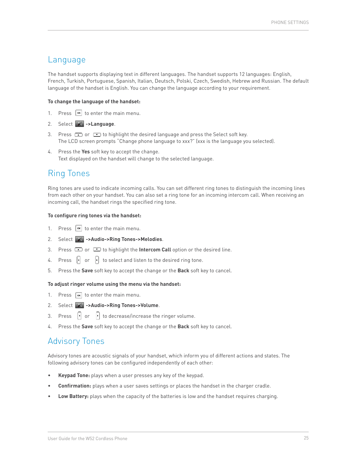### <span id="page-24-0"></span>Language

The handset supports displaying text in different languages. The handset supports 12 languages: English, French, Turkish, Portuguese, Spanish, Italian, Deutsch, Polski, Czech, Swedish, Hebrew and Russian. The default language of the handset is English. You can change the language according to your requirement.

#### **To change the language of the handset:**

- 1. Press  $\boxed{\infty}$  to enter the main menu.
- 2. Select **->Language**.
- 3. Press  $\bullet$  or  $\bullet$  to highlight the desired language and press the Select soft key. The LCD screen prompts "Change phone language to xxx?" (xxx is the language you selected).
- 4. Press the **Yes** soft key to accept the change. Text displayed on the handset will change to the selected language.

### Ring Tones

Ring tones are used to indicate incoming calls. You can set different ring tones to distinguish the incoming lines from each other on your handset. You can also set a ring tone for an incoming intercom call. When receiving an incoming call, the handset rings the specified ring tone.

#### **To configure ring tones via the handset:**

- 1. Press  $\boxed{\infty}$  to enter the main menu.
- 2. Select **->Audio->Ring Tones->Melodies**.
- 3. Press **to all of the light of the Intercom Call** option or the desired line.
- 4. Press  $\begin{bmatrix} \cdot \\ \cdot \end{bmatrix}$  or  $\begin{bmatrix} \cdot \\ \cdot \end{bmatrix}$  to select and listen to the desired ring tone.
- 5. Press the **Save** soft key to accept the change or the **Back** soft key to cancel.

#### **To adjust ringer volume using the menu via the handset:**

- 1. Press  $\boxed{\infty}$  to enter the main menu.
- 2. Select **->Audio->Ring Tones->Volume**.
- 3. Press  $\begin{bmatrix} \cdot \\ \cdot \end{bmatrix}$  or  $\begin{bmatrix} \cdot \\ \cdot \end{bmatrix}$  to decrease/increase the ringer volume.
- 4. Press the **Save** soft key to accept the change or the **Back** soft key to cancel.

### Advisory Tones

Advisory tones are acoustic signals of your handset, which inform you of different actions and states. The following advisory tones can be configured independently of each other:

- **Keypad Tone:** plays when a user presses any key of the keypad.
- **Confirmation:** plays when a user saves settings or places the handset in the charger cradle.
- **Low Battery:** plays when the capacity of the batteries is low and the handset requires charging.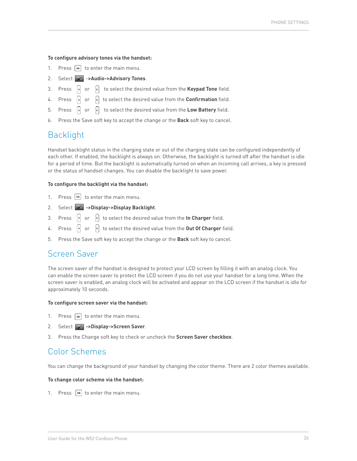#### <span id="page-25-0"></span>**To configure advisory tones via the handset:**

- 1. Press  $\boxed{\infty}$  to enter the main menu.
- 2. Select **X ->Audio->Advisory Tones**.
- 3. Press  $\begin{bmatrix} \cdot \\ \cdot \end{bmatrix}$  or  $\begin{bmatrix} \cdot \\ \cdot \end{bmatrix}$  to select the desired value from the **Keypad Tone** field.
- 4. Press **of** or **f** to select the desired value from the **Confirmation** field.
- 5. Press  $\begin{bmatrix} \cdot \\ \cdot \end{bmatrix}$  or  $\begin{bmatrix} \cdot \\ \cdot \end{bmatrix}$  to select the desired value from the **Low Battery** field.
- 6. Press the Save soft key to accept the change or the **Back** soft key to cancel.

### Backlight

Handset backlight status in the charging state or out of the charging state can be configured independently of each other. If enabled, the backlight is always on. Otherwise, the backlight is turned off after the handset is idle for a period of time. But the backlight is automatically turned on when an incoming call arrives, a key is pressed or the status of handset changes. You can disable the backlight to save power.

#### **To configure the backlight via the handset:**

- 1. Press  $\boxed{\infty}$  to enter the main menu.
- 2. Select **->Display->Display Backlight**.
- 3. Press  $\begin{bmatrix} \cdot \\ \cdot \end{bmatrix}$  or  $\begin{bmatrix} \cdot \\ \cdot \end{bmatrix}$  to select the desired value from the **In Charger** field.
- 4. Press **o** or **the select the desired value from the Out Of Charger** field.
- 5. Press the Save soft key to accept the change or the **Back** soft key to cancel.

### Screen Saver

The screen saver of the handset is designed to protect your LCD screen by filling it with an analog clock. You can enable the screen saver to protect the LCD screen if you do not use your handset for a long time. When the screen saver is enabled, an analog clock will be activated and appear on the LCD screen if the handset is idle for approximately 10 seconds.

#### **To configure screen saver via the handset:**

- 1. Press  $\boxed{\infty}$  to enter the main menu.
- 2. Select **X** ->Display->Screen Saver.
- 3. Press the Change soft key to check or uncheck the **Screen Saver checkbox**.

### Color Schemes

You can change the background of your handset by changing the color theme. There are 2 color themes available.

#### **To change color scheme via the handset:**

1. Press  $\boxed{\infty}$  to enter the main menu.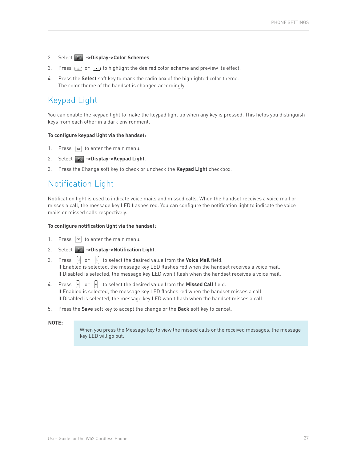- <span id="page-26-0"></span>2. Select **->Display->Color Schemes**.
- 3. Press  $\bullet$  or  $\bullet$  to highlight the desired color scheme and preview its effect.
- 4. Press the **Select** soft key to mark the radio box of the highlighted color theme. The color theme of the handset is changed accordingly.

### Keypad Light

You can enable the keypad light to make the keypad light up when any key is pressed. This helps you distinguish keys from each other in a dark environment.

#### **To configure keypad light via the handset:**

- 1. Press  $\boxed{\infty}$  to enter the main menu.
- 2. Select **x** ->Display->Keypad Light.
- 3. Press the Change soft key to check or uncheck the **Keypad Light** checkbox.

### Notification Light

Notification light is used to indicate voice mails and missed calls. When the handset receives a voice mail or misses a call, the message key LED flashes red. You can configure the notification light to indicate the voice mails or missed calls respectively.

#### **To configure notification light via the handset:**

- 1. Press  $\boxed{\infty}$  to enter the main menu.
- 2. Select **->Display->Notification Light**.
- 3. Press  $\begin{bmatrix} \cdot \\ \cdot \end{bmatrix}$  to select the desired value from the **Voice Mail** field. If Enabled is selected, the message key LED flashes red when the handset receives a voice mail. If Disabled is selected, the message key LED won't flash when the handset receives a voice mail.
- 4. Press  $\begin{bmatrix} \cdot \\ \cdot \end{bmatrix}$  or  $\begin{bmatrix} \cdot \\ \cdot \end{bmatrix}$  to select the desired value from the **Missed Call** field. If Enabled is selected, the message key LED flashes red when the handset misses a call. If Disabled is selected, the message key LED won't flash when the handset misses a call.
- 5. Press the **Save** soft key to accept the change or the **Back** soft key to cancel.

#### **NOTE:**

When you press the Message key to view the missed calls or the received messages, the message key LED will go out.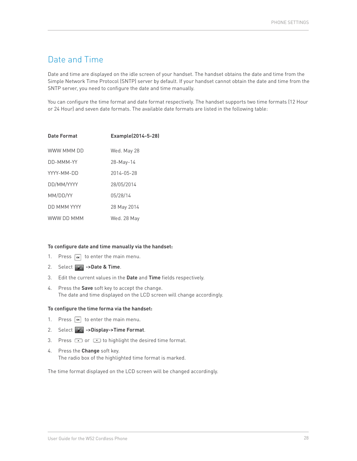### <span id="page-27-0"></span>Date and Time

Date and time are displayed on the idle screen of your handset. The handset obtains the date and time from the Simple Network Time Protocol (SNTP) server by default. If your handset cannot obtain the date and time from the SNTP server, you need to configure the date and time manually.

You can configure the time format and date format respectively. The handset supports two time formats (12 Hour or 24 Hour) and seven date formats. The available date formats are listed in the following table:

| Date Format | Example(2014-5-28) |
|-------------|--------------------|
| WWW MMM DD  | Wed. May 28        |
| DD-MMM-YY   | 28-May-14          |
| YYYY-MM-DD  | 2014-05-28         |
| DD/MM/YYYY  | 28/05/2014         |
| MM/DD/YY    | 05/28/14           |
| DD MMM YYYY | 28 May 2014        |
| WWW DD MMM  | Wed. 28 May        |

#### **To configure date and time manually via the handset:**

- 1. Press  $\boxed{\infty}$  to enter the main menu.
- 2. Select **x** ->Date & Time.
- 3. Edit the current values in the **Date** and **Time** fields respectively.
- 4. Press the **Save** soft key to accept the change. The date and time displayed on the LCD screen will change accordingly.

#### **To configure the time forma via the handset:**

- 1. Press  $\boxed{\infty}$  to enter the main menu.
- 2. Select **->Display->Time Format**.
- 3. Press  $\bullet$  or  $\bullet$  to highlight the desired time format.
- 4. Press the **Change** soft key. The radio box of the highlighted time format is marked.

The time format displayed on the LCD screen will be changed accordingly.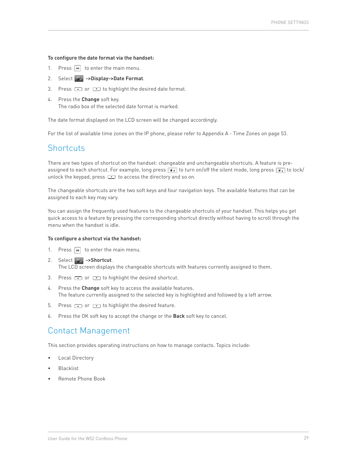#### <span id="page-28-0"></span>**To configure the date format via the handset:**

- 1. Press  $\boxed{\infty}$  to enter the main menu.
- 2. Select **->Display->Date Format**.
- 3. Press  $\bullet$  or  $\bullet$  to highlight the desired date format.
- 4. Press the **Change** soft key. The radio box of the selected date format is marked.

The date format displayed on the LCD screen will be changed accordingly.

For the list of available time zones on the IP phone, please refer to Appendix A - Time Zones on [page 53](#page-52-0).

### **Shortcuts**

There are two types of shortcut on the handset: changeable and unchangeable shortcuts. A feature is preassigned to each shortcut. For example, long press  $\overline{**}$  to turn on/off the silent mode, long press  $\overline{**}$  to lock/ unlock the keypad, press  $\bullet$  to access the directory and so on.

The changeable shortcuts are the two soft keys and four navigation keys. The available features that can be assigned to each key may vary.

You can assign the frequently used features to the changeable shortcuts of your handset. This helps you get quick access to a feature by pressing the corresponding shortcut directly without having to scroll through the menu when the handset is idle.

#### **To configure a shortcut via the handset:**

- 1. Press  $\boxed{\infty}$  to enter the main menu.
- 2. Select **->Shortcut**. The LCD screen displays the changeable shortcuts with features currently assigned to them.
- 3. Press  $\bullet$  or  $\bullet$  to highlight the desired shortcut.
- 4. Press the **Change** soft key to access the available features. The feature currently assigned to the selected key is highlighted and followed by a left arrow.
- 5. Press  $\bullet$  or  $\bullet$  to highlight the desired feature.
- 6. Press the OK soft key to accept the change or the **Back** soft key to cancel.

### Contact Management

This section provides operating instructions on how to manage contacts. Topics include:

- Local Directory
- **Blacklist**
- Remote Phone Book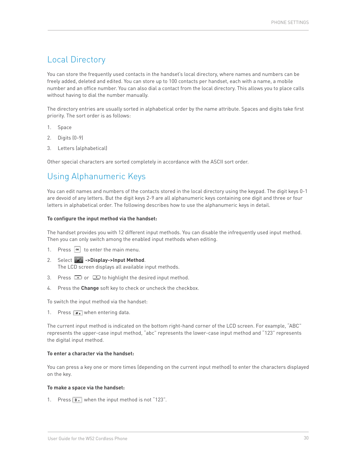### <span id="page-29-0"></span>Local Directory

You can store the frequently used contacts in the handset's local directory, where names and numbers can be freely added, deleted and edited. You can store up to 100 contacts per handset, each with a name, a mobile number and an office number. You can also dial a contact from the local directory. This allows you to place calls without having to dial the number manually.

The directory entries are usually sorted in alphabetical order by the name attribute. Spaces and digits take first priority. The sort order is as follows:

- 1. Space
- 2. Digits (0-9)
- 3. Letters (alphabetical)

Other special characters are sorted completely in accordance with the ASCII sort order.

### Using Alphanumeric Keys

You can edit names and numbers of the contacts stored in the local directory using the keypad. The digit keys 0-1 are devoid of any letters. But the digit keys 2-9 are all alphanumeric keys containing one digit and three or four letters in alphabetical order. The following describes how to use the alphanumeric keys in detail.

#### **To configure the input method via the handset:**

The handset provides you with 12 different input methods. You can disable the infrequently used input method. Then you can only switch among the enabled input methods when editing.

- 1. Press  $\boxed{\infty}$  to enter the main menu.
- 2. Select **->Display->Input Method**. The LCD screen displays all available input methods.
- 3. Press  $\bullet$  or  $\bullet$  to highlight the desired input method.
- 4. Press the **Change** soft key to check or uncheck the checkbox.

To switch the input method via the handset:

1. Press  $\boxed{\# \bullet}$  when entering data.

The current input method is indicated on the bottom right-hand corner of the LCD screen. For example, "ABC" represents the upper-case input method, "abc" represents the lower-case input method and "123" represents the digital input method.

#### **To enter a character via the handset:**

You can press a key one or more times (depending on the current input method) to enter the characters displayed on the key.

#### **To make a space via the handset:**

1. Press  $\boxed{\bullet}$  when the input method is not "123".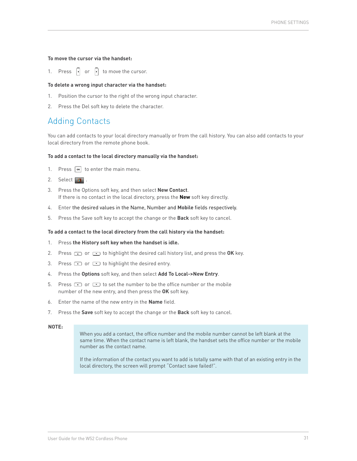#### **To move the cursor via the handset:**

1. Press  $\begin{bmatrix} \cdot \\ \cdot \end{bmatrix}$  or  $\begin{bmatrix} \cdot \\ \cdot \end{bmatrix}$  to move the cursor.

#### **To delete a wrong input character via the handset:**

- 1. Position the cursor to the right of the wrong input character.
- 2. Press the Del soft key to delete the character.

### Adding Contacts

You can add contacts to your local directory manually or from the call history. You can also add contacts to your local directory from the remote phone book.

#### **To add a contact to the local directory manually via the handset:**

- 1. Press  $\boxed{\infty}$  to enter the main menu.
- 2. Select  $\blacksquare$ .
- 3. Press the Options soft key, and then select **New Contact**. If there is no contact in the local directory, press the **New** soft key directly.
- 4. Enter the desired values in the Name, Number and **Mobile** fields respectively.
- 5. Press the Save soft key to accept the change or the **Back** soft key to cancel.

#### **To add a contact to the local directory from the call history via the handset:**

- 1. Press **the History soft key when the handset is idle.**
- 2. Press  $\bullet$  or  $\bullet$  to highlight the desired call history list, and press the OK key.
- 3. Press  $\bullet$  or  $\bullet$  to highlight the desired entry.
- 4. Press the **Options** soft key, and then select **Add To Local->New Entry**.
- 5. Press  $\bullet$  or  $\bullet$  to set the number to be the office number or the mobile number of the new entry, and then press the **OK** soft key.
- 6. Enter the name of the new entry in the **Name** field.
- 7. Press the **Save** soft key to accept the change or the **Back** soft key to cancel.

#### **NOTE:**

When you add a contact, the office number and the mobile number cannot be left blank at the same time. When the contact name is left blank, the handset sets the office number or the mobile number as the contact name.

If the information of the contact you want to add is totally same with that of an existing entry in the local directory, the screen will prompt "Contact save failed!".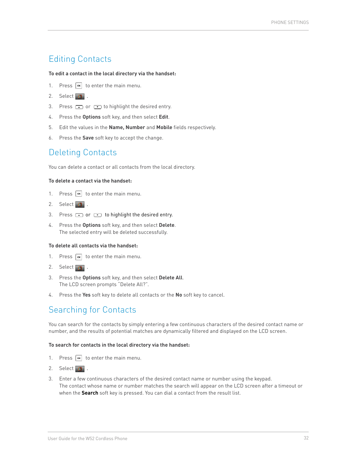### Editing Contacts

#### **To edit a contact in the local directory via the handset:**

- 1. Press  $\boxed{\infty}$  to enter the main menu.
- 2. Select **B**.
- 3. Press  $\Box$  or  $\Box$  to highlight the desired entry.
- 4. Press the **Options** soft key, and then select **Edit**.
- 5. Edit the values in the **Name, Number** and **Mobile** fields respectively.
- 6. Press the **Save** soft key to accept the change.

### Deleting Contacts

You can delete a contact or all contacts from the local directory.

#### **To delete a contact via the handset:**

- 1. Press  $\boxed{\infty}$  to enter the main menu.
- 2. Select  $\blacksquare$ .
- 3. Press  $\bullet$  or  $\bullet$  to highlight the desired entry.
- 4. Press the **Options** soft key, and then select **Delete**. The selected entry will be deleted successfully.

#### **To delete all contacts via the handset:**

- 1. Press  $\boxed{\infty}$  to enter the main menu.
- 2. Select  $\blacksquare$ .
- 3. Press the **Options** soft key, and then select **Delete All**. The LCD screen prompts "Delete All?".
- 4. Press the **Yes** soft key to delete all contacts or the **No** soft key to cancel.

### Searching for Contacts

You can search for the contacts by simply entering a few continuous characters of the desired contact name or number, and the results of potential matches are dynamically filtered and displayed on the LCD screen.

#### **To search for contacts in the local directory via the handset:**

- 1. Press  $\boxed{\infty}$  to enter the main menu.
- 2. Select **B**
- 3. Enter a few continuous characters of the desired contact name or number using the keypad. The contact whose name or number matches the search will appear on the LCD screen after a timeout or when the **Search** soft key is pressed. You can dial a contact from the result list.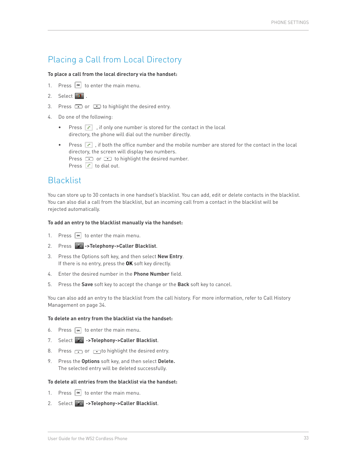### <span id="page-32-0"></span>Placing a Call from Local Directory

#### **To place a call from the local directory via the handset:**

- 1. Press  $\boxed{\alpha}$  to enter the main menu.
- 2. Select **8**
- 3. Press  $\Box$  or  $\Box$  to highlight the desired entry.
- 4. Do one of the following:
	- Press  $\lceil \cdot \rceil$ , if only one number is stored for the contact in the local directory, the phone will dial out the number directly.
	- Press  $\epsilon$ , if both the office number and the mobile number are stored for the contact in the local directory, the screen will display two numbers. Press  $\bullet$  or  $\bullet$  to highlight the desired number. Press  $\boxed{c}$  to dial out.

### Blacklist

You can store up to 30 contacts in one handset's blacklist. You can add, edit or delete contacts in the blacklist. You can also dial a call from the blacklist, but an incoming call from a contact in the blacklist will be rejected automatically.

#### **To add an entry to the blacklist manually via the handset:**

- 1. Press  $\boxed{\infty}$  to enter the main menu.
- 2. Press **->Telephony->Caller Blacklist**.
- 3. Press the Options soft key, and then select **New Entry**. If there is no entry, press the **OK** soft key directly.
- 4. Enter the desired number in the **Phone Number** field.
- 5. Press the **Save** soft key to accept the change or the **Back** soft key to cancel.

You can also add an entry to the blacklist from the call history. For more information, refer to Call History Management on [page 34](#page-33-0).

#### **To delete an entry from the blacklist via the handset:**

- 6. Press  $\boxed{\infty}$  to enter the main menu.
- 7. Select  $\mathbb{X}$  ->Telephony->Caller Blacklist.
- 8. Press  $\bullet$  or  $\bullet$  to highlight the desired entry.
- 9. Press the **Options** soft key, and then select **Delete.**  The selected entry will be deleted successfully.

#### **To delete all entries from the blacklist via the handset:**

- 1. Press  $\boxed{\infty}$  to enter the main menu.
- 2. Select **->Telephony->Caller Blacklist**.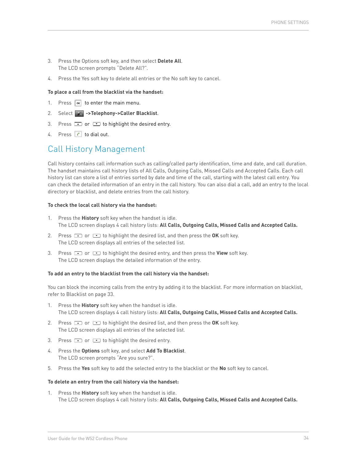- <span id="page-33-0"></span>3. Press the Options soft key, and then select **Delete All**. The LCD screen prompts "Delete All?".
- 4. Press the Yes soft key to delete all entries or the No soft key to cancel.

#### **To place a call from the blacklist via the handset:**

- 1. Press  $\boxed{\infty}$  to enter the main menu.
- 2. Select **->Telephony->Caller Blacklist**.
- 3. Press  $\Box$  or  $\Box$  to highlight the desired entry.
- 4. Press  $\epsilon$  to dial out.

### Call History Management

Call history contains call information such as calling/called party identification, time and date, and call duration. The handset maintains call history lists of All Calls, Outgoing Calls, Missed Calls and Accepted Calls. Each call history list can store a list of entries sorted by date and time of the call, starting with the latest call entry. You can check the detailed information of an entry in the call history. You can also dial a call, add an entry to the local directory or blacklist, and delete entries from the call history.

#### **To check the local call history via the handset:**

- 1. Press the **History** soft key when the handset is idle. The LCD screen displays 4 call history lists: **All Calls, Outgoing Calls, Missed Calls and Accepted Calls.**
- 2. Press **the OK** soft key. The LCD screen displays all entries of the selected list.
- 3. Press or **c** or to highlight the desired entry, and then press the View soft key. The LCD screen displays the detailed information of the entry.

#### **To add an entry to the blacklist from the call history via the handset:**

You can block the incoming calls from the entry by adding it to the blacklist. For more information on blacklist, refer to Blacklist on [page 33.](#page-32-0)

- 1. Press the **History** soft key when the handset is idle. The LCD screen displays 4 call history lists: **All Calls, Outgoing Calls, Missed Calls and Accepted Calls.**
- 2. Press  $\bullet$  or  $\bullet$  to highlight the desired list, and then press the OK soft key. The LCD screen displays all entries of the selected list.
- 3. Press  $\bullet$  or  $\bullet$  to highlight the desired entry.
- 4. Press the **Options** soft key, and select **Add To Blacklist**. The LCD screen prompts "Are you sure?".
- 5. Press the **Yes** soft key to add the selected entry to the blacklist or the **No** soft key to cancel.

#### **To delete an entry from the call history via the handset:**

1. Press the **History** soft key when the handset is idle. The LCD screen displays 4 call history lists: **All Calls, Outgoing Calls, Missed Calls and Accepted Calls.**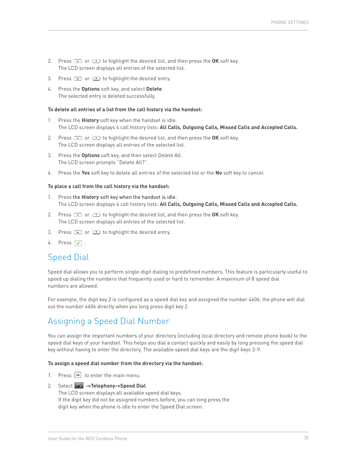- <span id="page-34-0"></span>2. Press  $\bullet$  or  $\bullet$  to highlight the desired list, and then press the OK soft key. The LCD screen displays all entries of the selected list.
- 3. Press  $\bullet$  or  $\bullet$  to highlight the desired entry.
- 4. Press the **Options** soft key, and select **Delete**. The selected entry is deleted successfully.

#### **To delete all entries of a list from the call history via the handset:**

- 1. Press the **History** soft key when the handset is idle. The LCD screen displays 4 call history lists: **All Calls, Outgoing Calls, Missed Calls and Accepted Calls.**
- 2. Press  $\bullet$  or  $\bullet$  to highlight the desired list, and then press the OK soft key. The LCD screen displays all entries of the selected list.
- 3. Press the **Options** soft key, and then select Delete All. The LCD screen prompts "Delete All?".
- 4. Press the **Yes** soft key to delete all entries of the selected list or the **No** soft key to cancel.

#### **To place a call from the call history via the handset:**

- 1. Press the **History** soft key when the handset is idle. The LCD screen displays 4 call history lists: **All Calls, Outgoing Calls, Missed Calls and Accepted Calls.**
- 2. Press  $\bullet$  or  $\bullet$  to highlight the desired list, and then press the OK soft key. The LCD screen displays all entries of the selected list.
- 3. Press  $\bullet$  or  $\bullet$  to highlight the desired entry.
- 4. Press  $\boxed{c}$  .

### Speed Dial

Speed dial allows you to perform single-digit dialing to predefined numbers. This feature is particularly useful to speed up dialing the numbers that frequently used or hard to remember. A maximum of 8 speed dial numbers are allowed.

For example, the digit key 2 is configured as a speed dial key and assigned the number 4606, the phone will dial out the number 4606 directly when you long press digit key 2.

### Assigning a Speed Dial Number

You can assign the important numbers of your directory (including local directory and remote phone book) to the speed dial keys of your handset. This helps you dial a contact quickly and easily by long pressing the speed dial key without having to enter the directory. The available speed dial keys are the digit keys 2-9.

#### **To assign a speed dial number from the directory via the handset:**

- 1. Press  $\boxed{\infty}$  to enter the main menu.
- 2. Select **->Telephony->Speed Dial**.

The LCD screen displays all available speed dial keys. If the digit key did not be assigned numbers before, you can long press the digit key when the phone is idle to enter the Speed Dial screen.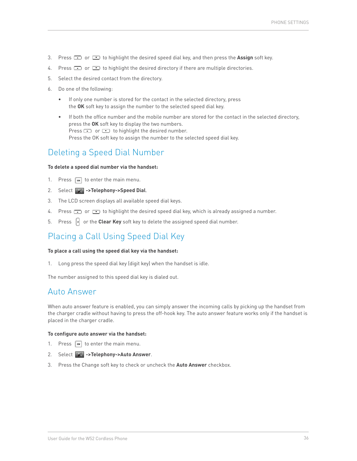- <span id="page-35-0"></span>3. Press  $\Box$  or  $\Box$  to highlight the desired speed dial key, and then press the **Assign** soft key.
- 4. Press  $\Box$  or  $\Box$  to highlight the desired directory if there are multiple directories.
- 5. Select the desired contact from the directory.
- 6. Do one of the following:
	- If only one number is stored for the contact in the selected directory, press the **OK** soft key to assign the number to the selected speed dial key.
	- If both the office number and the mobile number are stored for the contact in the selected directory, press the **OK** soft key to display the two numbers. Press  $\bullet$  or  $\bullet$  to highlight the desired number. Press the OK soft key to assign the number to the selected speed dial key.

### Deleting a Speed Dial Number

#### **To delete a speed dial number via the handset:**

- 1. Press  $\boxed{\infty}$  to enter the main menu.
- 2. Select **X** ->Telephony->Speed Dial.
- 3. The LCD screen displays all available speed dial keys.
- 4. Press  $\Box$  or  $\Box$  to highlight the desired speed dial key, which is already assigned a number.
- 5. Press  $\left\{ \cdot \right\}$  or the **Clear Key** soft key to delete the assigned speed dial number.

### Placing a Call Using Speed Dial Key

#### **To place a call using the speed dial key via the handset:**

1. Long press the speed dial key (digit key) when the handset is idle.

The number assigned to this speed dial key is dialed out.

### Auto Answer

When auto answer feature is enabled, you can simply answer the incoming calls by picking up the handset from the charger cradle without having to press the off-hook key. The auto answer feature works only if the handset is placed in the charger cradle.

#### **To configure auto answer via the handset:**

- 1. Press  $\boxed{\infty}$  to enter the main menu.
- 2. Select **->Telephony->Auto Answer**.
- 3. Press the Change soft key to check or uncheck the **Auto Answer** checkbox.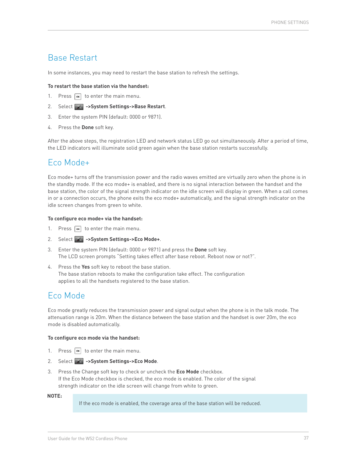### <span id="page-36-0"></span>Base Restart

In some instances, you may need to restart the base station to refresh the settings.

#### **To restart the base station via the handset:**

- 1. Press  $\boxed{\infty}$  to enter the main menu.
- 2. Select **->System Settings->Base Restart**.
- 3. Enter the system PIN (default: 0000 or 9871).
- 4. Press the **Done** soft key.

After the above steps, the registration LED and network status LED go out simultaneously. After a period of time, the LED indicators will illuminate solid green again when the base station restarts successfully.

### Eco Mode+

Eco mode+ turns off the transmission power and the radio waves emitted are virtually zero when the phone is in the standby mode. If the eco mode+ is enabled, and there is no signal interaction between the handset and the base station, the color of the signal strength indicator on the idle screen will display in green. When a call comes in or a connection occurs, the phone exits the eco mode+ automatically, and the signal strength indicator on the idle screen changes from green to white.

#### **To configure eco mode+ via the handset:**

- 1. Press  $\left| \infty \right|$  to enter the main menu.
- 2. Select **->System Settings->Eco Mode+**.
- 3. Enter the system PIN (default: 0000 or 9871) and press the **Done** soft key. The LCD screen prompts "Setting takes effect after base reboot. Reboot now or not?".
- 4. Press the **Yes** soft key to reboot the base station. The base station reboots to make the configuration take effect. The configuration applies to all the handsets registered to the base station.

### Eco Mode

Eco mode greatly reduces the transmission power and signal output when the phone is in the talk mode. The attenuation range is 20m. When the distance between the base station and the handset is over 20m, the eco mode is disabled automatically.

#### **To configure eco mode via the handset:**

- 1. Press  $\boxed{\infty}$  to enter the main menu.
- 2. Select  $\rightarrow$  ->System Settings->Eco Mode.
- 3. Press the Change soft key to check or uncheck the **Eco Mode** checkbox. If the Eco Mode checkbox is checked, the eco mode is enabled. The color of the signal strength indicator on the idle screen will change from white to green.

#### **NOTE:**

If the eco mode is enabled, the coverage area of the base station will be reduced.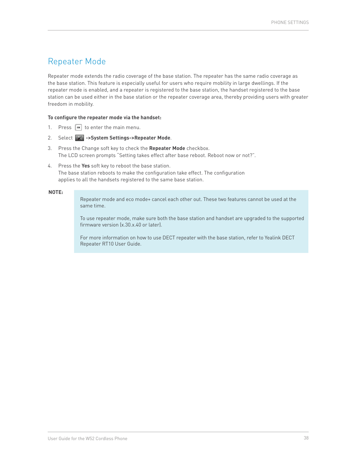### <span id="page-37-0"></span>Repeater Mode

Repeater mode extends the radio coverage of the base station. The repeater has the same radio coverage as the base station. This feature is especially useful for users who require mobility in large dwellings. If the repeater mode is enabled, and a repeater is registered to the base station, the handset registered to the base station can be used either in the base station or the repeater coverage area, thereby providing users with greater freedom in mobility.

#### **To configure the repeater mode via the handset:**

- 1. Press  $\boxed{\infty}$  to enter the main menu.
- 2. Select **->System Settings->Repeater Mode**.
- 3. Press the Change soft key to check the **Repeater Mode** checkbox. The LCD screen prompts "Setting takes effect after base reboot. Reboot now or not?".
- 4. Press the **Yes** soft key to reboot the base station. The base station reboots to make the configuration take effect. The configuration applies to all the handsets registered to the same base station.

#### **NOTE:**

Repeater mode and eco mode+ cancel each other out. These two features cannot be used at the same time.

To use repeater mode, make sure both the base station and handset are upgraded to the supported firmware version (x.30.x.40 or later).

For more information on how to use DECT repeater with the base station, refer to Yealink DECT Repeater RT10 User Guide.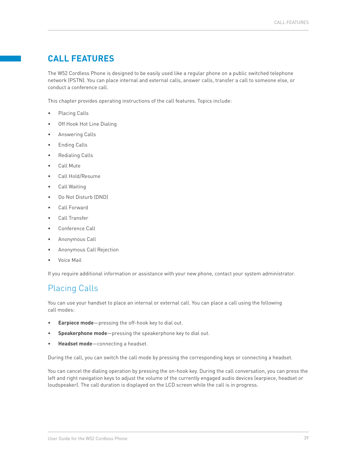### <span id="page-38-0"></span>**CALL FEATURES**

The W52 Cordless Phone is designed to be easily used like a regular phone on a public switched telephone network (PSTN). You can place internal and external calls, answer calls, transfer a call to someone else, or conduct a conference call.

This chapter provides operating instructions of the call features. Topics include:

- Placing Calls
- Off Hook Hot Line Dialing
- Answering Calls
- Ending Calls
- Redialing Calls
- Call Mute
- Call Hold/Resume
- Call Waiting
- Do Not Disturb (DND)
- Call Forward
- Call Transfer
- Conference Call
- Anonymous Call
- Anonymous Call Rejection
- Voice Mail

If you require additional information or assistance with your new phone, contact your system administrator.

### Placing Calls

You can use your handset to place an internal or external call. You can place a call using the following call modes:

- **Earpiece mode**—pressing the off-hook key to dial out.
- **Speakerphone mode**—pressing the speakerphone key to dial out.
- **Headset mode**—connecting a headset.

During the call, you can switch the call mode by pressing the corresponding keys or connecting a headset.

You can cancel the dialing operation by pressing the on-hook key. During the call conversation, you can press the left and right navigation keys to adjust the volume of the currently engaged audio devices (earpiece, headset or loudspeaker). The call duration is displayed on the LCD screen while the call is in progress.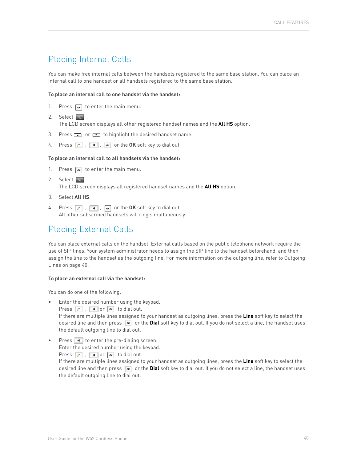### <span id="page-39-0"></span>Placing Internal Calls

You can make free internal calls between the handsets registered to the same base station. You can place an internal call to one handset or all handsets registered to the same base station.

#### **To place an internal call to one handset via the handset:**

- 1. Press  $\boxed{\infty}$  to enter the main menu.
- 2. Select  $\Box$ The LCD screen displays all other registered handset names and the **All HS** option.
- 3. Press  $\bullet\bullet$  or  $\bullet\bullet$  to highlight the desired handset name.
- 4. Press **c**, **i**,  $\bullet$  or the **OK** soft key to dial out.

#### **To place an internal call to all handsets via the handset:**

- 1. Press  $\boxed{\infty}$  to enter the main menu.
- 2. Select  $\begin{array}{|c|c|c|c|}\n\hline\n\end{array}$ . The LCD screen displays all registered handset names and the **All HS** option.
- 3. Select **All HS**.
- 4. Press  $\boxed{c}$ ,  $\boxed{4}$ ,  $\boxed{\infty}$  or the OK soft key to dial out. All other subscribed handsets will ring simultaneously.

### Placing External Calls

You can place external calls on the handset. External calls based on the public telephone network require the use of SIP lines. Your system administrator needs to assign the SIP line to the handset beforehand, and then assign the line to the handset as the outgoing line. For more information on the outgoing line, refer to Outgoing Lines on page 40.

#### **To place an external call via the handset:**

You can do one of the following:

- Enter the desired number using the keypad. Press  $\boxed{c}$ ,  $\boxed{\bullet}$  or  $\boxed{\infty}$  to dial out. If there are multiple lines assigned to your handset as outgoing lines, press the **Line** soft key to select the desired line and then press  $\boxed{\infty}$  or the **Dial** soft key to dial out. If you do not select a line, the handset uses the default outgoing line to dial out.
- Press  $\blacksquare$  to enter the pre-dialing screen. Enter the desired number using the keypad. Press  $\begin{array}{|c|c|c|c|c|c|}\n\hline\n\end{array}$ ,  $\begin{array}{|c|c|c|c|c|}\n\hline\n\end{array}$  to dial out. If there are multiple lines assigned to your handset as outgoing lines, press the **Line** soft key to select the desired line and then press  $\overline{\bullet}$  or the **Dial** soft key to dial out. If you do not select a line, the handset uses the default outgoing line to dial out.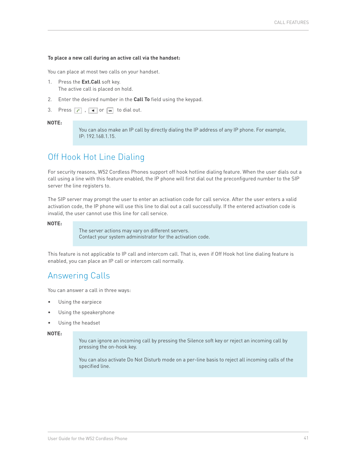#### <span id="page-40-0"></span>**To place a new call during an active call via the handset:**

You can place at most two calls on your handset.

- 1. Press the **Ext.Call** soft key. The active call is placed on hold.
- 2. Enter the desired number in the **Call To** field using the keypad.
- 3. Press  $\begin{array}{|c|c|c|c|c|}\n\hline\n\end{array}$ ,  $\begin{array}{|c|c|c|c|}\n\hline\n\end{array}$  to dial out.

#### **NOTE:**

You can also make an IP call by directly dialing the IP address of any IP phone. For example, IP: 192.168.1.15.

### Off Hook Hot Line Dialing

For security reasons, W52 Cordless Phones support off hook hotline dialing feature. When the user dials out a call using a line with this feature enabled, the IP phone will first dial out the preconfigured number to the SIP server the line registers to.

The SIP server may prompt the user to enter an activation code for call service. After the user enters a valid activation code, the IP phone will use this line to dial out a call successfully. If the entered activation code is invalid, the user cannot use this line for call service.

#### **NOTE:**

The server actions may vary on different servers. Contact your system administrator for the activation code.

This feature is not applicable to IP call and intercom call. That is, even if Off Hook hot line dialing feature is enabled, you can place an IP call or intercom call normally.

### Answering Calls

You can answer a call in three ways:

- Using the earpiece
- Using the speakerphone
- Using the headset

**NOTE:**

You can ignore an incoming call by pressing the Silence soft key or reject an incoming call by pressing the on-hook key.

You can also activate Do Not Disturb mode on a per-line basis to reject all incoming calls of the specified line.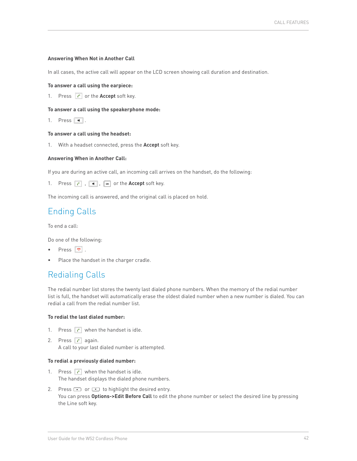#### <span id="page-41-0"></span>**Answering When Not in Another Call**

In all cases, the active call will appear on the LCD screen showing call duration and destination.

#### **To answer a call using the earpiece:**

1. Press **c** or the **Accept** soft key.

#### **To answer a call using the speakerphone mode:**

1. Press  $\overline{\bullet}$ .

#### **To answer a call using the headset:**

1. With a headset connected, press the **Accept** soft key.

#### **Answering When in Another Call:**

If you are during an active call, an incoming call arrives on the handset, do the following:

1. Press , , or the **Accept** soft key.

The incoming call is answered, and the original call is placed on hold.

### Ending Calls

To end a call:

Do one of the following:

- Press  $\boxed{\bullet}$ .
- Place the handset in the charger cradle.

### Redialing Calls

The redial number list stores the twenty last dialed phone numbers. When the memory of the redial number list is full, the handset will automatically erase the oldest dialed number when a new number is dialed. You can redial a call from the redial number list.

#### **To redial the last dialed number:**

- 1. Press  $\epsilon$  when the handset is idle.
- 2. Press  $\epsilon$  again. A call to your last dialed number is attempted.

#### **To redial a previously dialed number:**

- 1. Press  $\epsilon$  when the handset is idle. The handset displays the dialed phone numbers.
- 2. Press  $\bullet$  or  $\bullet$  to highlight the desired entry. You can press **Options->Edit Before Call** to edit the phone number or select the desired line by pressing the Line soft key.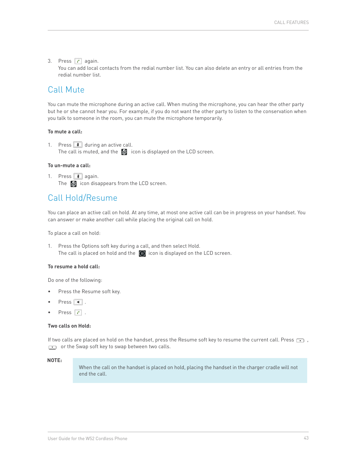#### <span id="page-42-0"></span>3. Press  $\epsilon$  again.

You can add local contacts from the redial number list. You can also delete an entry or all entries from the redial number list.

### Call Mute

You can mute the microphone during an active call. When muting the microphone, you can hear the other party but he or she cannot hear you. For example, if you do not want the other party to listen to the conservation when you talk to someone in the room, you can mute the microphone temporarily.

#### **To mute a call:**

1. Press  $\Box$  during an active call. The call is muted, and the  $\boxtimes$  icon is displayed on the LCD screen.

#### **To un-mute a call:**

1. Press  $\Box$  again. The  $\boxtimes$  icon disappears from the LCD screen.

### Call Hold/Resume

You can place an active call on hold. At any time, at most one active call can be in progress on your handset. You can answer or make another call while placing the original call on hold.

To place a call on hold:

1. Press the Options soft key during a call, and then select Hold. The call is placed on hold and the  $\Box$  icon is displayed on the LCD screen.

#### **To resume a hold call:**

Do one of the following:

- Press the Resume soft key.
- Press  $\overline{\bullet}$ .
- Press  $\boxed{c}$ .

#### **Two calls on Hold:**

If two calls are placed on hold on the handset, press the Resume soft key to resume the current call. Press  $\Box$ ,  $\bullet$  or the Swap soft key to swap between two calls.

#### **NOTE:**

When the call on the handset is placed on hold, placing the handset in the charger cradle will not end the call.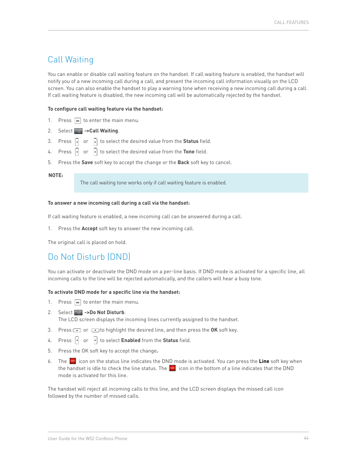### <span id="page-43-0"></span>Call Waiting

You can enable or disable call waiting feature on the handset. If call waiting feature is enabled, the handset will notify you of a new incoming call during a call, and present the incoming call information visually on the LCD screen. You can also enable the handset to play a warning tone when receiving a new incoming call during a call. If call waiting feature is disabled, the new incoming call will be automatically rejected by the handset.

#### **To configure call waiting feature via the handset:**

- 1. Press  $\boxed{\infty}$  to enter the main menu.
- 2. Select **P. ->Call Waiting**.
- 3. Press  $\begin{bmatrix} \cdot \\ \cdot \end{bmatrix}$  or  $\begin{bmatrix} \cdot \\ \cdot \end{bmatrix}$  to select the desired value from the **Status** field.
- 4. Press  $\begin{bmatrix} \cdot \\ \cdot \end{bmatrix}$  or  $\begin{bmatrix} \cdot \\ \cdot \end{bmatrix}$  to select the desired value from the **Tone** field.
- 5. Press the **Save** soft key to accept the change or the **Back** soft key to cancel.

#### **NOTE:**

The call waiting tone works only if call waiting feature is enabled.

#### **To answer a new incoming call during a call via the handset:**

If call waiting feature is enabled, a new incoming call can be answered during a call.

1. Press the **Accept** soft key to answer the new incoming call.

The original call is placed on hold.

### Do Not Disturb (DND)

You can activate or deactivate the DND mode on a per-line basis. If DND mode is activated for a specific line, all incoming calls to the line will be rejected automatically, and the callers will hear a busy tone.

#### **To activate DND mode for a specific line via the handset:**

- 1. Press  $\boxed{\infty}$  to enter the main menu.
- 2. Select **P.** ->Do Not Disturb.

The LCD screen displays the incoming lines currently assigned to the handset.

- 3. Press or **the highlight the desired line, and then press the OK** soft key.
- 4. Press  $\begin{bmatrix} \cdot \\ \cdot \end{bmatrix}$  or  $\begin{bmatrix} \cdot \\ \cdot \end{bmatrix}$  to select **Enabled** from the **Status** field.
- 5. Press the OK soft key to accept the change**.**
- 6. The **i**con on the status line indicates the DND mode is activated. You can press the Line soft key when the handset is idle to check the line status. The  $\Box$  icon in the bottom of a line indicates that the DND mode is activated for this line.

The handset will reject all incoming calls to this line, and the LCD screen displays the missed call icon followed by the number of missed calls.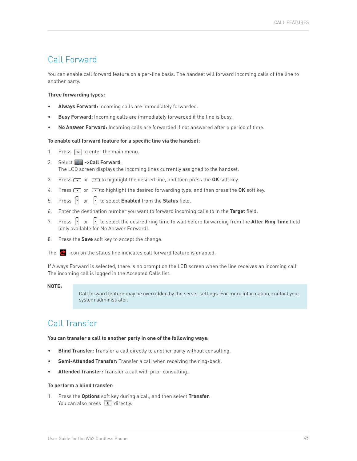### <span id="page-44-0"></span>Call Forward

You can enable call forward feature on a per-line basis. The handset will forward incoming calls of the line to another party.

#### **Three forwarding types:**

- **Always Forward:** Incoming calls are immediately forwarded.
- **Busy Forward:** Incoming calls are immediately forwarded if the line is busy.
- **No Answer Forward:** Incoming calls are forwarded if not answered after a period of time.

#### **To enable call forward feature for a specific line via the handset:**

- 1. Press  $\boxed{\infty}$  to enter the main menu.
- 2. Select **P.** -> Call Forward. The LCD screen displays the incoming lines currently assigned to the handset.
- 
- 3. Press **the OK** soft key.
- 4. Press  $\Box$  or  $\Box$  to highlight the desired forwarding type, and then press the **OK** soft key.
- 5. Press  $\begin{bmatrix} \cdot \\ \cdot \end{bmatrix}$  or  $\begin{bmatrix} \cdot \\ \cdot \end{bmatrix}$  to select **Enabled** from the **Status** field.
- 6. Enter the destination number you want to forward incoming calls to in the **Target** field.
- 7. Press  $\left[\cdot\right]$  or  $\left[\cdot\right]$  to select the desired ring time to wait before forwarding from the **After Ring Time** field (only available for No Answer Forward).
- 8. Press the **Save** soft key to accept the change.
- The  $\bullet$  icon on the status line indicates call forward feature is enabled.

If Always Forward is selected, there is no prompt on the LCD screen when the line receives an incoming call. The incoming call is logged in the Accepted Calls list.

#### **NOTE:**

Call forward feature may be overridden by the server settings. For more information, contact your system administrator.

### Call Transfer

#### **You can transfer a call to another party in one of the following ways:**

- **Blind Transfer:** Transfer a call directly to another party without consulting.
- **Semi-Attended Transfer:** Transfer a call when receiving the ring-back.
- **Attended Transfer:** Transfer a call with prior consulting.

#### **To perform a blind transfer:**

1. Press the **Options** soft key during a call, and then select **Transfer**. You can also press  $\boxed{R}$  directly.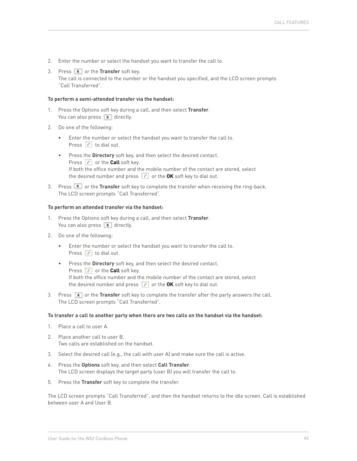- 2. Enter the number or select the handset you want to transfer the call to.
- 3. Press **R** or the **Transfer** soft key. The call is connected to the number or the handset you specified, and the LCD screen prompts "Call Transferred".

#### **To perform a semi-attended transfer via the handset:**

- 1. Press the Options soft key during a call, and then select **Transfer**. You can also press  $\boxed{\mathbb{R}}$  directly.
- 2. Do one of the following:
	- Enter the number or select the handset you want to transfer the call to. Press  $\begin{array}{|c|c|} \hline \textbf{c} & \textbf{t} \textbf{o} & \textbf{d} \textbf{a} & \textbf{b} \textbf{a} \textbf{b} \textbf{b} \textbf{c} \textbf{b} \textbf{c} \textbf{b} \textbf{c} \textbf{b} \textbf{c} \textbf{b} \textbf{c} \textbf{b} \textbf{c} \textbf{b} \textbf{c} \textbf{b} \textbf{c} \textbf{b} \textbf{c} \textbf{c} \textbf{b} \textbf{c} \textbf{c} \textbf{b} \textbf{c} \textbf{c}$
	- Press the **Directory** soft key, and then select the desired contact. Press conthe **Call** soft key. If both the office number and the mobile number of the contact are stored, select the desired number and press  $\boxed{C}$  or the OK soft key to dial out.
- 3. Press **R** or the **Transfer** soft key to complete the transfer when receiving the ring-back. The LCD screen prompts "Call Transferred".

#### **To perform an attended transfer via the handset:**

- 1. Press the Options soft key during a call, and then select **Transfer**. You can also press  $\boxed{\mathbf{R}}$  directly.
- 2. Do one of the following:
	- Enter the number or select the handset you want to transfer the call to. Press  $\boxed{c}$  to dial out.
	- Press the **Directory** soft key, and then select the desired contact. Press c or the **Call** soft key. If both the office number and the mobile number of the contact are stored, select the desired number and press  $\boxed{c}$  or the OK soft key to dial out.
- 3. Press **R** or the **Transfer** soft key to complete the transfer after the party answers the call. The LCD screen prompts "Call Transferred".

#### **To transfer a call to another party when there are two calls on the handset via the handset:**

- 1. Place a call to user A.
- 2. Place another call to user B. Two calls are established on the handset.
- 3. Select the desired call (e.g., the call with user A) and make sure the call is active.
- 4. Press the **Options** soft key, and then select **Call Transfer**. The LCD screen displays the target party (user B) you will transfer the call to.
- 5. Press the **Transfer** soft key to complete the transfer.

The LCD screen prompts "Call Transferred", and then the handset returns to the idle screen. Call is established between user A and User B.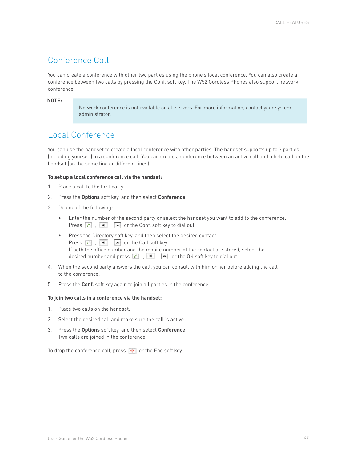### <span id="page-46-0"></span>Conference Call

You can create a conference with other two parties using the phone's local conference. You can also create a conference between two calls by pressing the Conf. soft key. The W52 Cordless Phones also support network conference.

#### **NOTE:**

Network conference is not available on all servers. For more information, contact your system administrator.

### Local Conference

You can use the handset to create a local conference with other parties. The handset supports up to 3 parties (including yourself) in a conference call. You can create a conference between an active call and a held call on the handset (on the same line or different lines).

#### **To set up a local conference call via the handset:**

- 1. Place a call to the first party.
- 2. Press the **Options** soft key, and then select **Conference**.
- 3. Do one of the following:
	- Enter the number of the second party or select the handset you want to add to the conference. Press , , or the Conf. soft key to dial out.
	- Press the Directory soft key, and then select the desired contact. Press  $\begin{array}{|c|c|c|c|c|c|}\n\hline\n\end{array}$ ,  $\begin{array}{|c|c|c|c|c|}\n\hline\n\end{array}$  or the Call soft key. If both the office number and the mobile number of the contact are stored, select the desired number and press  $\lceil \cdot \rceil$ ,  $\lceil \cdot \rceil$ ,  $\lceil \cdot \rceil$  or the OK soft key to dial out.
- 4. When the second party answers the call, you can consult with him or her before adding the call to the conference.
- 5. Press the **Conf.** soft key again to join all parties in the conference.

#### **To join two calls in a conference via the handset:**

- 1. Place two calls on the handset.
- 2. Select the desired call and make sure the call is active.
- 3. Press the **Options** soft key, and then select **Conference**. Two calls are joined in the conference.

To drop the conference call, press  $\boxed{\bullet}$  or the End soft key.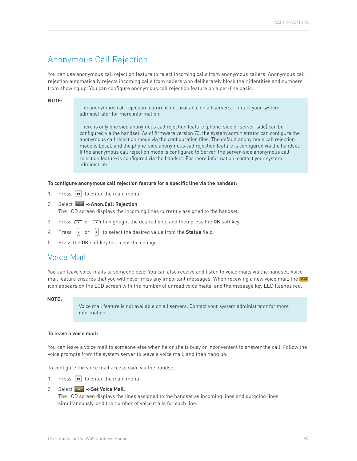### <span id="page-47-0"></span>Anonymous Call Rejection

You can use anonymous call rejection feature to reject incoming calls from anonymous callers. Anonymous call rejection automatically rejects incoming calls from callers who deliberately block their identities and numbers from showing up. You can configure anonymous call rejection feature on a per-line basis.

#### **NOTE:**

The anonymous call rejection feature is not available on all servers. Contact your system administrator for more information.

There is only one side anonymous call rejection feature (phone-side or server-side) can be configured via the handset. As of firmware version 73, the system administrator can configure the anonymous call rejection mode via the configuration files. The default anonymous call rejection mode is Local, and the phone-side anonymous call rejection feature is configured via the handset. If the anonymous call rejection mode is configured to Server, the server-side anonymous call rejection feature is configured via the handset. For more information, contact your system administrator.

#### **To configure anonymous call rejection feature for a specific line via the handset:**

- 1. Press  $\boxed{\infty}$  to enter the main menu.
- 2. Select **C** -> Anon. Call Rejection. The LCD screen displays the incoming lines currently assigned to the handset.
- 3. Press **c** or **c** to highlight the desired line, and then press the OK soft key.
- 4. Press  $\begin{vmatrix} \cdot \\ \cdot \end{vmatrix}$  or  $\begin{vmatrix} \cdot \\ \cdot \end{vmatrix}$  to select the desired value from the **Status** field.
- 5. Press the **OK** soft key to accept the change.

### Voice Mail

You can leave voice mails to someone else. You can also receive and listen to voice mails via the handset. Voice mail feature ensures that you will never miss any important messages. When receiving a new voice mail, the **un** icon appears on the LCD screen with the number of unread voice mails, and the message key LED flashes red.

#### **NOTE:**

Voice mail feature is not available on all servers. Contact your system administrator for more information.

#### **To leave a voice mail:**

You can leave a voice mail to someone else when he or she is busy or inconvenient to answer the call. Follow the voice prompts from the system server to leave a voice mail, and then hang up.

To configure the voice mail access code via the handset:

- 1. Press  $\boxed{\infty}$  to enter the main menu.
- 2. Select **->Set Voice Mail.**

The LCD screen displays the lines assigned to the handset as incoming lines and outgoing lines simultaneously, and the number of voice mails for each line.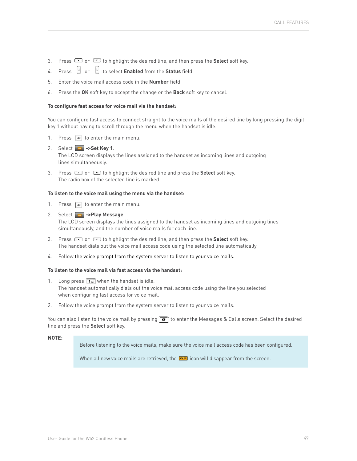- 3. Press  $\text{or } \text{ } \text{ } \text{ }$  to highlight the desired line, and then press the **Select** soft key.
- 4. Press **of or the select Enabled** from the **Status** field.
- 5. Enter the voice mail access code in the **Number** field.
- 6. Press the **OK** soft key to accept the change or the **Back** soft key to cancel.

#### **To configure fast access for voice mail via the handset:**

You can configure fast access to connect straight to the voice mails of the desired line by long pressing the digit key 1 without having to scroll through the menu when the handset is idle.

- 1. Press  $\boxed{\infty}$  to enter the main menu.
- 2. Select **->Set Key 1**. The LCD screen displays the lines assigned to the handset as incoming lines and outgoing lines simultaneously.
- 3. Press **c** or **the highlight the desired line and press the Select** soft key. The radio box of the selected line is marked.

#### **To listen to the voice mail using the menu via the handset:**

- 1. Press  $\boxed{\infty}$  to enter the main menu.
- 2. Select **->Play Message**. The LCD screen displays the lines assigned to the handset as incoming lines and outgoing lines simultaneously, and the number of voice mails for each line.
- 3. Press  $\bullet$  or  $\bullet$  to highlight the desired line, and then press the **Select** soft key. The handset dials out the voice mail access code using the selected line automatically.
- 4. Follow the voice prompt from the system server to listen to your voice mails.

#### **To listen to the voice mail via fast access via the handset:**

- 1. Long press  $\boxed{1_{\infty}}$  when the handset is idle. The handset automatically dials out the voice mail access code using the line you selected when configuring fast access for voice mail.
- 2. Follow the voice prompt from the system server to listen to your voice mails.

You can also listen to the voice mail by pressing  $\Box$  to enter the Messages & Calls screen. Select the desired line and press the **Select** soft key.

#### **NOTE:**

Before listening to the voice mails, make sure the voice mail access code has been configured.

When all new voice mails are retrieved, the **inducts** icon will disappear from the screen.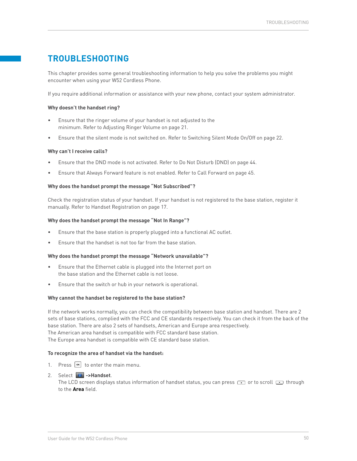### <span id="page-49-0"></span>**TROUBLESHOOTING**

This chapter provides some general troubleshooting information to help you solve the problems you might encounter when using your W52 Cordless Phone.

If you require additional information or assistance with your new phone, contact your system administrator.

#### **Why doesn't the handset ring?**

- Ensure that the ringer volume of your handset is not adjusted to the minimum. Refer to Adjusting Ringer Volume on [page 21](#page-20-0).
- Ensure that the silent mode is not switched on. Refer to Switching Silent Mode On/Off on [page 22](#page-21-0).

#### **Why can't I receive calls?**

- Ensure that the DND mode is not activated. Refer to Do Not Disturb (DND) on [page 44](#page-43-0).
- Ensure that Always Forward feature is not enabled. Refer to Call Forward on [page 45](#page-44-0).

#### **Why does the handset prompt the message "Not Subscribed"?**

Check the registration status of your handset. If your handset is not registered to the base station, register it manually. Refer to Handset Registration on [page 17.](#page-16-0)

#### **Why does the handset prompt the message "Not In Range"?**

- Ensure that the base station is properly plugged into a functional AC outlet.
- Ensure that the handset is not too far from the base station.

#### **Why does the handset prompt the message "Network unavailable"?**

- Ensure that the Ethernet cable is plugged into the Internet port on the base station and the Ethernet cable is not loose.
- Ensure that the switch or hub in your network is operational.

#### **Why cannot the handset be registered to the base station?**

If the network works normally, you can check the compatibility between base station and handset. There are 2 sets of base stations, complied with the FCC and CE standards respectively. You can check it from the back of the base station. There are also 2 sets of handsets, American and Europe area respectively. The American area handset is compatible with FCC standard base station. The Europe area handset is compatible with CE standard base station.

#### **To recognize the area of handset via the handset:**

- 1. Press  $\boxed{\infty}$  to enter the main menu.
- 2. Select **->Handset**. The LCD screen displays status information of handset status, you can press  $\Box$  or to scroll  $\Box$  through to the **Area** field.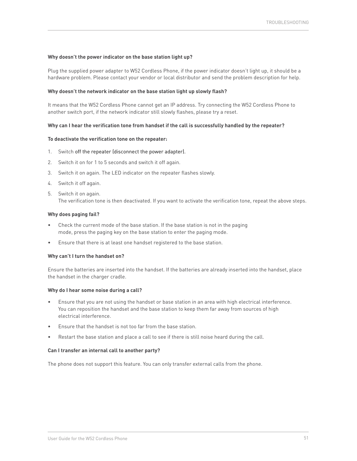#### **Why doesn't the power indicator on the base station light up?**

Plug the supplied power adapter to W52 Cordless Phone, if the power indicator doesn't light up, it should be a hardware problem. Please contact your vendor or local distributor and send the problem description for help.

#### **Why doesn't the network indicator on the base station light up slowly flash?**

It means that the W52 Cordless Phone cannot get an IP address. Try connecting the W52 Cordless Phone to another switch port, if the network indicator still slowly flashes, please try a reset.

#### **Why can I hear the verification tone from handset if the call is successfully handled by the repeater?**

#### **To deactivate the verification tone on the repeater:**

- 1. Switch off the repeater (disconnect the power adapter).
- 2. Switch it on for 1 to 5 seconds and switch it off again.
- 3. Switch it on again. The LED indicator on the repeater flashes slowly.
- 4. Switch it off again.
- 5. Switch it on again. The verification tone is then deactivated. If you want to activate the verification tone, repeat the above steps.

#### **Why does paging fail?**

- Check the current mode of the base station. If the base station is not in the paging mode, press the paging key on the base station to enter the paging mode.
- Ensure that there is at least one handset registered to the base station.

#### **Why can't I turn the handset on?**

Ensure the batteries are inserted into the handset. If the batteries are already inserted into the handset, place the handset in the charger cradle.

#### **Why do I hear some noise during a call?**

- Ensure that you are not using the handset or base station in an area with high electrical interference. You can reposition the handset and the base station to keep them far away from sources of high electrical interference.
- Ensure that the handset is not too far from the base station.
- Restart the base station and place a call to see if there is still noise heard during the call.

#### **Can I transfer an internal call to another party?**

The phone does not support this feature. You can only transfer external calls from the phone.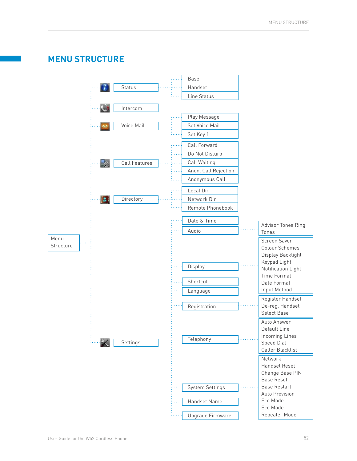<span id="page-51-0"></span>

### User Guide for the W52 Cordless Phone 52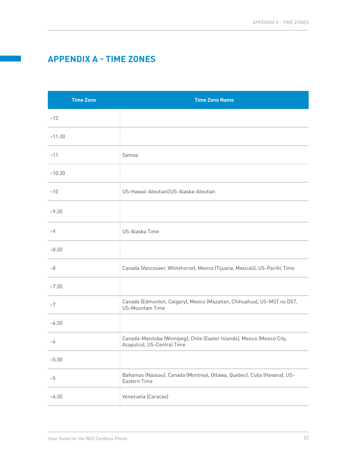### <span id="page-52-0"></span>**APPENDIX A - TIME ZONES**

| <b>Time Zone</b> | <b>Time Zone Name</b>                                                                                  |
|------------------|--------------------------------------------------------------------------------------------------------|
| $-12$            |                                                                                                        |
| $-11:30$         |                                                                                                        |
| $-11$            | Samoa                                                                                                  |
| $-10:30$         |                                                                                                        |
| $-10$            | US-Hawaii-Aleutian US-Alaska-Aleutian                                                                  |
| $-9:30$          |                                                                                                        |
| $-9$             | US-Alaska Time                                                                                         |
| $-8:30$          |                                                                                                        |
| $-8$             | Canada (Vancouver, Whitehorse), Mexico (Tijuana, Mexicali), US-Pacific Time                            |
| $-7:30$          |                                                                                                        |
| $-7$             | Canada (Edmonton, Calgary), Mexico (Mazatlan, Chihuahua), US-MST no DST,<br><b>US-Mountain Time</b>    |
| $-6:30$          |                                                                                                        |
| $-6$             | Canada-Manitoba (Winnipeg), Chile (Easter Islands), Mexico (Mexico City,<br>Acapulco), US-Central Time |
| $-5:30$          |                                                                                                        |
| $-5$             | Bahamas (Nassau), Canada (Montreal, Ottawa, Quebec), Cuba (Havana), US-<br>Eastern Time                |
| $-4:30$          | Venezuela (Caracas)                                                                                    |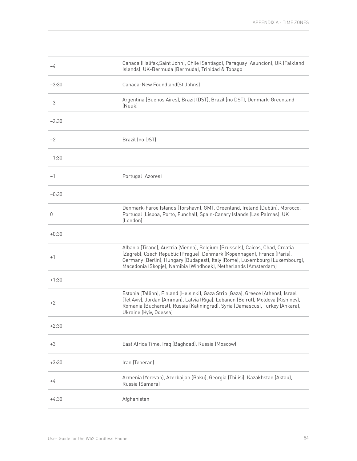| $-4$    | Canada (Halifax, Saint John), Chile (Santiago), Paraguay (Asuncion), UK (Falkland<br>Islands), UK-Bermuda (Bermuda), Trinidad & Tobago                                                                                                                                                                       |
|---------|--------------------------------------------------------------------------------------------------------------------------------------------------------------------------------------------------------------------------------------------------------------------------------------------------------------|
| $-3:30$ | Canada-New Foundland(St.Johns)                                                                                                                                                                                                                                                                               |
| $-3$    | Argentina (Buenos Aires), Brazil (DST), Brazil (no DST), Denmark-Greenland<br>(Nuuk)                                                                                                                                                                                                                         |
| $-2:30$ |                                                                                                                                                                                                                                                                                                              |
| $-2$    | Brazil (no DST)                                                                                                                                                                                                                                                                                              |
| $-1:30$ |                                                                                                                                                                                                                                                                                                              |
| $-1$    | Portugal (Azores)                                                                                                                                                                                                                                                                                            |
| $-0:30$ |                                                                                                                                                                                                                                                                                                              |
| 0       | Denmark-Faroe Islands (Torshavn), GMT, Greenland, Ireland (Dublin), Morocco,<br>Portugal (Lisboa, Porto, Funchal), Spain-Canary Islands (Las Palmas), UK<br>(London)                                                                                                                                         |
| $+0:30$ |                                                                                                                                                                                                                                                                                                              |
| $+1$    | Albania (Tirane), Austria (Vienna), Belgium (Brussels), Caicos, Chad, Croatia<br>(Zagreb), Czech Republic (Prague), Denmark (Kopenhagen), France (Paris),<br>Germany (Berlin), Hungary (Budapest), Italy (Rome), Luxembourg (Luxembourg),<br>Macedonia (Skopje), Namibia (Windhoek), Netherlands (Amsterdam) |
| $+1:30$ |                                                                                                                                                                                                                                                                                                              |
| +2      | Estonia (Tallinn), Finland (Helsinki), Gaza Strip (Gaza), Greece (Athens), Israel<br>(Tel Aviv), Jordan (Amman), Latvia (Riga), Lebanon (Beirut), Moldova (Kishinev),<br>Romania (Bucharest), Russia (Kaliningrad), Syria (Damascus), Turkey (Ankara),<br>Ukraine (Kyiv, Odessa)                             |
| $+2:30$ |                                                                                                                                                                                                                                                                                                              |
| $+3$    | East Africa Time, Iraq (Baghdad), Russia (Moscow)                                                                                                                                                                                                                                                            |
| $+3:30$ | Iran (Teheran)                                                                                                                                                                                                                                                                                               |
| +4      | Armenia (Yerevan), Azerbaijan (Baku), Georgia (Tbilisi), Kazakhstan (Aktau),<br>Russia (Samara)                                                                                                                                                                                                              |
| $+4:30$ | Afghanistan                                                                                                                                                                                                                                                                                                  |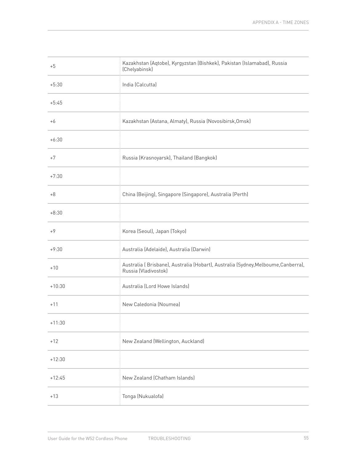| $+5$     | Kazakhstan (Aqtobe), Kyrgyzstan (Bishkek), Pakistan (Islamabad), Russia<br>(Chelyabinsk)                  |
|----------|-----------------------------------------------------------------------------------------------------------|
| $+5:30$  | India (Calcutta)                                                                                          |
| $+5:45$  |                                                                                                           |
| $+6$     | Kazakhstan (Astana, Almaty), Russia (Novosibirsk, Omsk)                                                   |
| $+6:30$  |                                                                                                           |
| $+7$     | Russia (Krasnoyarsk), Thailand (Bangkok)                                                                  |
| $+7:30$  |                                                                                                           |
| $+8$     | China (Beijing), Singapore (Singapore), Australia (Perth)                                                 |
| $+8:30$  |                                                                                                           |
| $+9$     | Korea (Seoul), Japan (Tokyo)                                                                              |
| $+9:30$  | Australia (Adelaide), Australia (Darwin)                                                                  |
| $+10$    | Australia (Brisbane), Australia (Hobart), Australia (Sydney, Melboume, Canberra),<br>Russia (Vladivostok) |
| $+10:30$ | Australia (Lord Howe Islands)                                                                             |
| $+11$    | New Caledonia (Noumea)                                                                                    |
| $+11:30$ |                                                                                                           |
| $+12$    | New Zealand (Wellington, Auckland)                                                                        |
| $+12:30$ |                                                                                                           |
| $+12:45$ | New Zealand (Chatham Islands)                                                                             |
| $+13$    | Tonga (Nukualofa)                                                                                         |